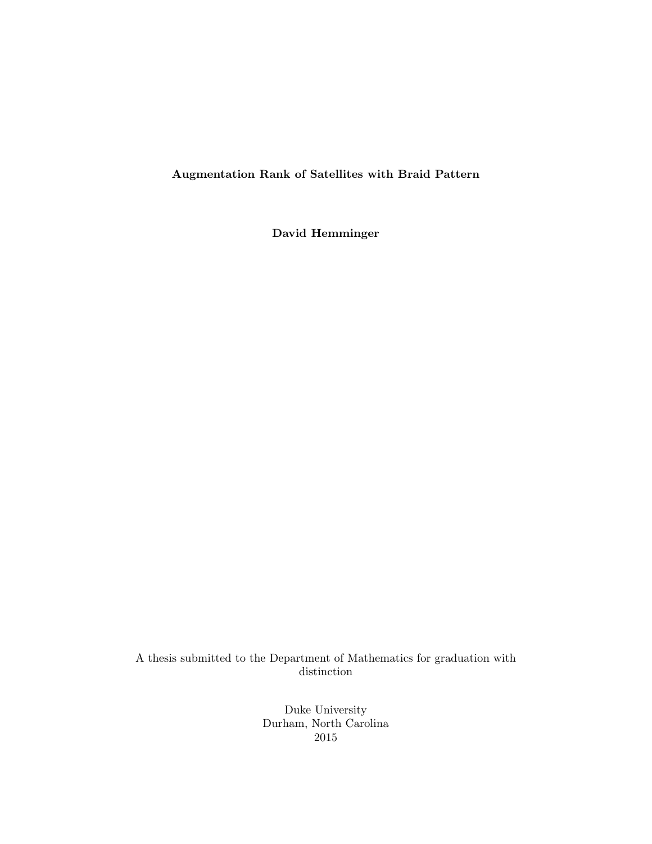Augmentation Rank of Satellites with Braid Pattern

David Hemminger

A thesis submitted to the Department of Mathematics for graduation with distinction

> Duke University Durham, North Carolina 2015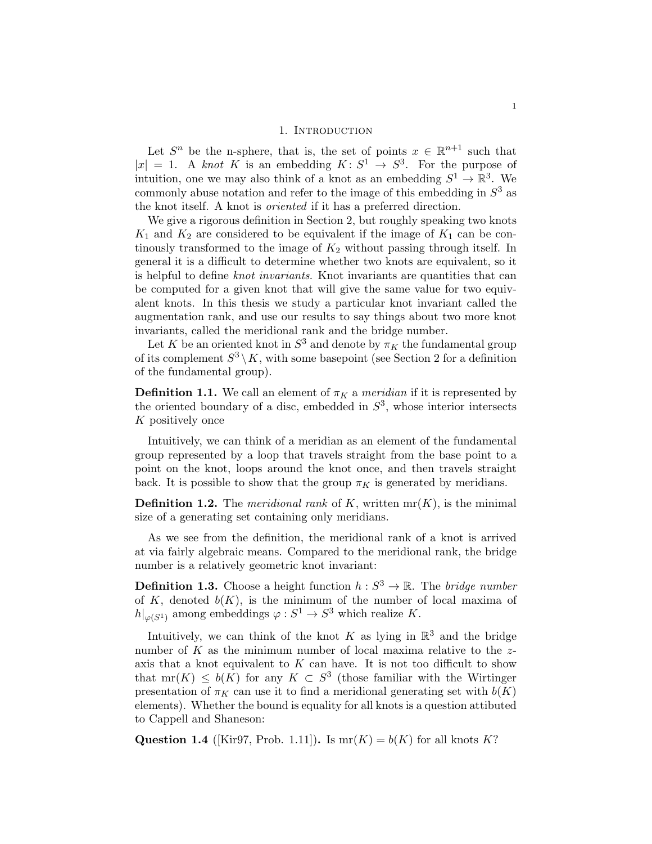# 1. INTRODUCTION

Let  $S^n$  be the n-sphere, that is, the set of points  $x \in \mathbb{R}^{n+1}$  such that  $|x| = 1$ . A knot K is an embedding  $K: S^1 \to S^3$ . For the purpose of intuition, one we may also think of a knot as an embedding  $S^1 \to \mathbb{R}^3$ . We commonly abuse notation and refer to the image of this embedding in  $S<sup>3</sup>$  as the knot itself. A knot is oriented if it has a preferred direction.

We give a rigorous definition in Section 2, but roughly speaking two knots  $K_1$  and  $K_2$  are considered to be equivalent if the image of  $K_1$  can be continously transformed to the image of  $K_2$  without passing through itself. In general it is a difficult to determine whether two knots are equivalent, so it is helpful to define knot invariants. Knot invariants are quantities that can be computed for a given knot that will give the same value for two equivalent knots. In this thesis we study a particular knot invariant called the augmentation rank, and use our results to say things about two more knot invariants, called the meridional rank and the bridge number.

Let K be an oriented knot in  $S^3$  and denote by  $\pi_K$  the fundamental group of its complement  $S^3 \setminus K$ , with some basepoint (see Section 2 for a definition of the fundamental group).

**Definition 1.1.** We call an element of  $\pi_K$  a *meridian* if it is represented by the oriented boundary of a disc, embedded in  $S<sup>3</sup>$ , whose interior intersects K positively once

Intuitively, we can think of a meridian as an element of the fundamental group represented by a loop that travels straight from the base point to a point on the knot, loops around the knot once, and then travels straight back. It is possible to show that the group  $\pi_K$  is generated by meridians.

**Definition 1.2.** The *meridional rank* of K, written  $mr(K)$ , is the minimal size of a generating set containing only meridians.

As we see from the definition, the meridional rank of a knot is arrived at via fairly algebraic means. Compared to the meridional rank, the bridge number is a relatively geometric knot invariant:

**Definition 1.3.** Choose a height function  $h: S^3 \to \mathbb{R}$ . The bridge number of K, denoted  $b(K)$ , is the minimum of the number of local maxima of  $h|_{\varphi(S^1)}$  among embeddings  $\varphi: S^1 \to S^3$  which realize K.

Intuitively, we can think of the knot K as lying in  $\mathbb{R}^3$  and the bridge number of  $K$  as the minimum number of local maxima relative to the  $z$ axis that a knot equivalent to  $K$  can have. It is not too difficult to show that  $mr(K) \leq b(K)$  for any  $K \subset S^3$  (those familiar with the Wirtinger presentation of  $\pi_K$  can use it to find a meridional generating set with  $b(K)$ elements). Whether the bound is equality for all knots is a question attibuted to Cappell and Shaneson:

Question 1.4 ([Kir97, Prob. 1.11]). Is  $mr(K) = b(K)$  for all knots K?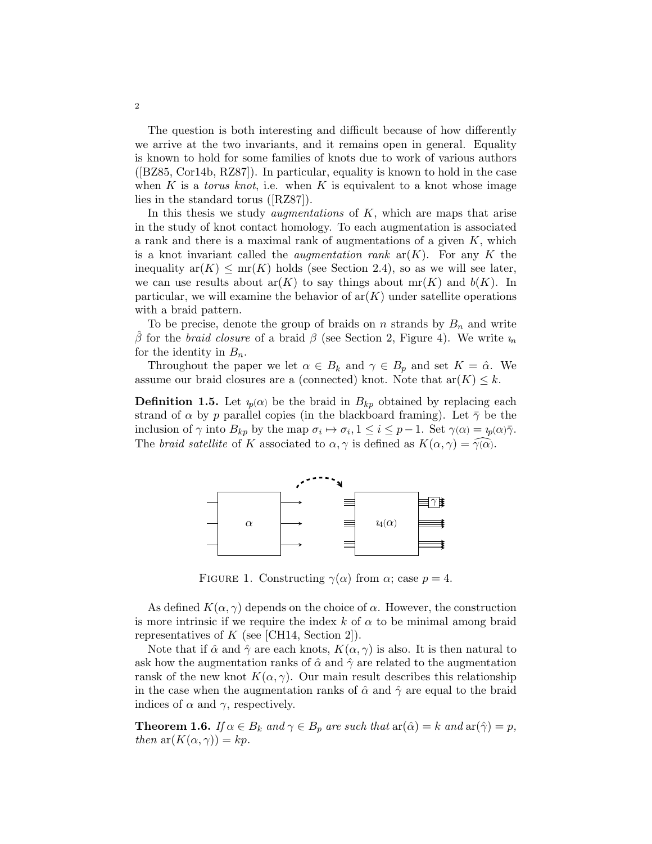The question is both interesting and difficult because of how differently we arrive at the two invariants, and it remains open in general. Equality is known to hold for some families of knots due to work of various authors ([BZ85, Cor14b, RZ87]). In particular, equality is known to hold in the case when K is a *torus knot*, i.e. when K is equivalent to a knot whose image lies in the standard torus ([RZ87]).

In this thesis we study *augmentations* of  $K$ , which are maps that arise in the study of knot contact homology. To each augmentation is associated a rank and there is a maximal rank of augmentations of a given  $K$ , which is a knot invariant called the *augmentation rank*  $ar(K)$ . For any K the inequality  $ar(K) \le mr(K)$  holds (see Section 2.4), so as we will see later, we can use results about  $ar(K)$  to say things about  $mr(K)$  and  $b(K)$ . In particular, we will examine the behavior of  $ar(K)$  under satellite operations with a braid pattern.

To be precise, denote the group of braids on  $n$  strands by  $B_n$  and write β for the braid closure of a braid β (see Section 2, Figure 4). We write  $\nu_n$ for the identity in  $B_n$ .

Throughout the paper we let  $\alpha \in B_k$  and  $\gamma \in B_p$  and set  $K = \hat{\alpha}$ . We assume our braid closures are a (connected) knot. Note that  $ar(K) \leq k$ .

**Definition 1.5.** Let  $\psi(\alpha)$  be the braid in  $B_{kp}$  obtained by replacing each strand of  $\alpha$  by p parallel copies (in the blackboard framing). Let  $\bar{\gamma}$  be the inclusion of  $\gamma$  into  $B_{kp}$  by the map  $\sigma_i \mapsto \sigma_i, 1 \leq i \leq p-1$ . Set  $\gamma(\alpha) = \psi(\alpha)\overline{\gamma}$ . The braid satellite of K associated to  $\alpha, \gamma$  is defined as  $K(\alpha, \gamma) = \overline{\gamma(\alpha)}$ .



FIGURE 1. Constructing  $\gamma(\alpha)$  from  $\alpha$ ; case  $p=4$ .

As defined  $K(\alpha, \gamma)$  depends on the choice of  $\alpha$ . However, the construction is more intrinsic if we require the index k of  $\alpha$  to be minimal among braid representatives of  $K$  (see [CH14, Section 2]).

Note that if  $\hat{\alpha}$  and  $\hat{\gamma}$  are each knots,  $K(\alpha, \gamma)$  is also. It is then natural to ask how the augmentation ranks of  $\hat{\alpha}$  and  $\hat{\gamma}$  are related to the augmentation ransk of the new knot  $K(\alpha, \gamma)$ . Our main result describes this relationship in the case when the augmentation ranks of  $\hat{\alpha}$  and  $\hat{\gamma}$  are equal to the braid indices of  $\alpha$  and  $\gamma$ , respectively.

**Theorem 1.6.** If  $\alpha \in B_k$  and  $\gamma \in B_p$  are such that  $ar(\hat{\alpha}) = k$  and  $ar(\hat{\gamma}) = p$ , then  $ar(K(\alpha, \gamma)) = kp$ .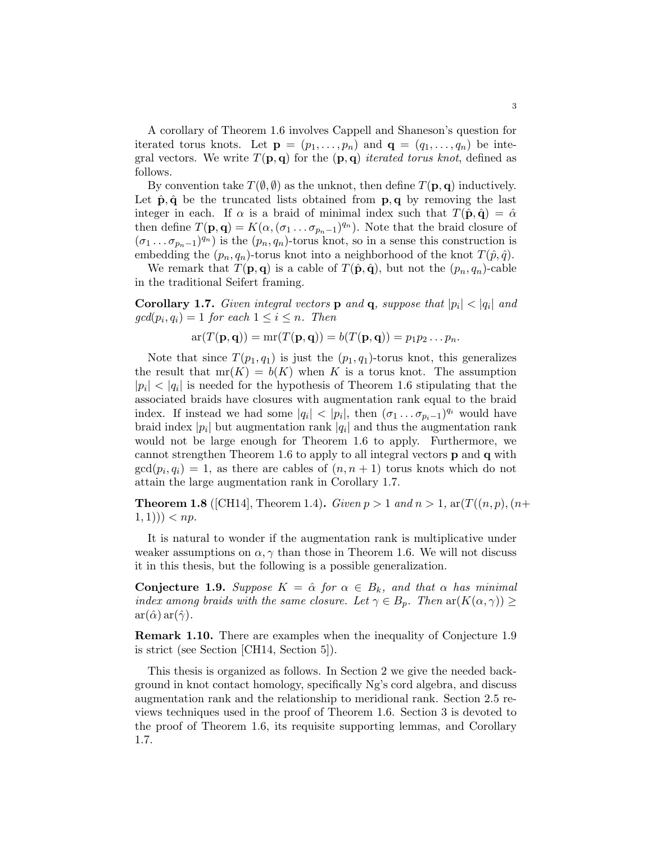A corollary of Theorem 1.6 involves Cappell and Shaneson's question for iterated torus knots. Let  $\mathbf{p} = (p_1, \ldots, p_n)$  and  $\mathbf{q} = (q_1, \ldots, q_n)$  be integral vectors. We write  $T(\mathbf{p}, \mathbf{q})$  for the  $(\mathbf{p}, \mathbf{q})$  iterated torus knot, defined as follows.

By convention take  $T(\emptyset, \emptyset)$  as the unknot, then define  $T(\mathbf{p}, \mathbf{q})$  inductively. Let  $\hat{\mathbf{p}}, \hat{\mathbf{q}}$  be the truncated lists obtained from  $\mathbf{p}, \mathbf{q}$  by removing the last integer in each. If  $\alpha$  is a braid of minimal index such that  $T(\hat{\mathbf{p}}, \hat{\mathbf{q}}) = \hat{\alpha}$ then define  $T(\mathbf{p}, \mathbf{q}) = K(\alpha, (\sigma_1 \dots \sigma_{p_n-1})^{q_n})$ . Note that the braid closure of  $(\sigma_1 \dots \sigma_{p_n-1})^{q_n}$  is the  $(p_n, q_n)$ -torus knot, so in a sense this construction is embedding the  $(p_n, q_n)$ -torus knot into a neighborhood of the knot  $T(\hat{p}, \hat{q})$ .

We remark that  $T(\mathbf{p}, \mathbf{q})$  is a cable of  $T(\hat{\mathbf{p}}, \hat{\mathbf{q}})$ , but not the  $(p_n, q_n)$ -cable in the traditional Seifert framing.

**Corollary 1.7.** Given integral vectors **p** and **q**, suppose that  $|p_i| < |q_i|$  and  $gcd(p_i, q_i) = 1$  for each  $1 \leq i \leq n$ . Then

$$
\mathrm{ar}(T(\mathbf{p},\mathbf{q})) = \mathrm{mr}(T(\mathbf{p},\mathbf{q})) = b(T(\mathbf{p},\mathbf{q})) = p_1p_2\ldots p_n.
$$

Note that since  $T(p_1, q_1)$  is just the  $(p_1, q_1)$ -torus knot, this generalizes the result that  $mr(K) = b(K)$  when K is a torus knot. The assumption  $|p_i|$  <  $|q_i|$  is needed for the hypothesis of Theorem 1.6 stipulating that the associated braids have closures with augmentation rank equal to the braid index. If instead we had some  $|q_i| < |p_i|$ , then  $(\sigma_1 \dots \sigma_{p_i-1})^{q_i}$  would have braid index  $|p_i|$  but augmentation rank  $|q_i|$  and thus the augmentation rank would not be large enough for Theorem 1.6 to apply. Furthermore, we cannot strengthen Theorem 1.6 to apply to all integral vectors p and q with  $gcd(p_i, q_i) = 1$ , as there are cables of  $(n, n + 1)$  torus knots which do not attain the large augmentation rank in Corollary 1.7.

**Theorem 1.8** ([CH14], Theorem 1.4). Given  $p > 1$  and  $n > 1$ ,  $ar(T((n, p), (n+p))$  $(1, 1)) > np.$ 

It is natural to wonder if the augmentation rank is multiplicative under weaker assumptions on  $\alpha$ ,  $\gamma$  than those in Theorem 1.6. We will not discuss it in this thesis, but the following is a possible generalization.

**Conjecture 1.9.** Suppose  $K = \hat{\alpha}$  for  $\alpha \in B_k$ , and that  $\alpha$  has minimal index among braids with the same closure. Let  $\gamma \in B_p$ . Then  $\text{ar}(K(\alpha, \gamma)) \geq$  $ar(\hat{\alpha}) ar(\hat{\gamma})$ .

Remark 1.10. There are examples when the inequality of Conjecture 1.9 is strict (see Section [CH14, Section 5]).

This thesis is organized as follows. In Section 2 we give the needed background in knot contact homology, specifically Ng's cord algebra, and discuss augmentation rank and the relationship to meridional rank. Section 2.5 reviews techniques used in the proof of Theorem 1.6. Section 3 is devoted to the proof of Theorem 1.6, its requisite supporting lemmas, and Corollary 1.7.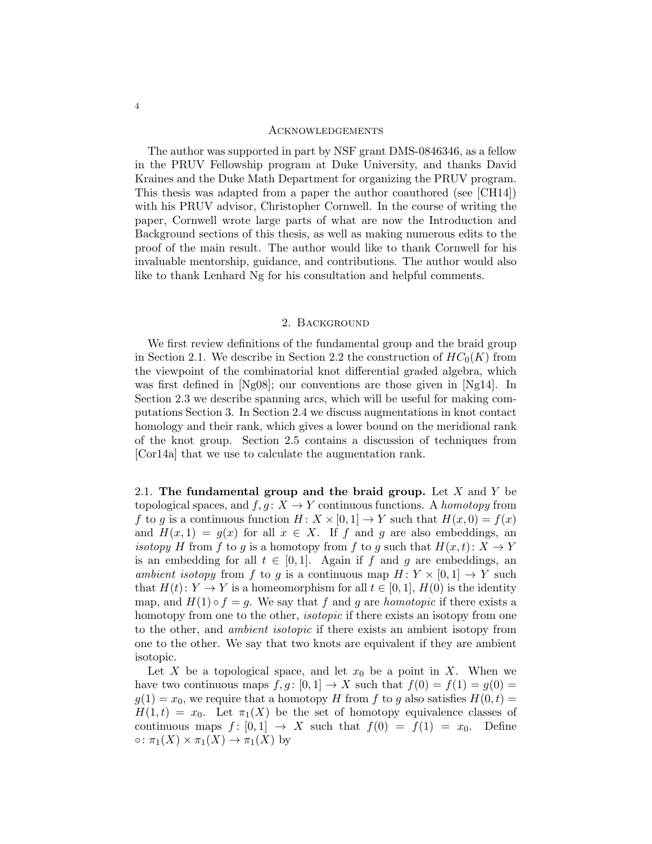#### **ACKNOWLEDGEMENTS**

The author was supported in part by NSF grant DMS-0846346, as a fellow in the PRUV Fellowship program at Duke University, and thanks David Kraines and the Duke Math Department for organizing the PRUV program. This thesis was adapted from a paper the author coauthored (see [CH14]) with his PRUV advisor, Christopher Cornwell. In the course of writing the paper, Cornwell wrote large parts of what are now the Introduction and Background sections of this thesis, as well as making numerous edits to the proof of the main result. The author would like to thank Cornwell for his invaluable mentorship, guidance, and contributions. The author would also like to thank Lenhard Ng for his consultation and helpful comments.

#### 2. Background

We first review definitions of the fundamental group and the braid group in Section 2.1. We describe in Section 2.2 the construction of  $HC_0(K)$  from the viewpoint of the combinatorial knot differential graded algebra, which was first defined in [Ng08]; our conventions are those given in [Ng14]. In Section 2.3 we describe spanning arcs, which will be useful for making computations Section 3. In Section 2.4 we discuss augmentations in knot contact homology and their rank, which gives a lower bound on the meridional rank of the knot group. Section 2.5 contains a discussion of techniques from [Cor14a] that we use to calculate the augmentation rank.

2.1. The fundamental group and the braid group. Let  $X$  and  $Y$  be topological spaces, and  $f, g: X \to Y$  continuous functions. A *homotopy* from f to g is a continuous function  $H: X \times [0,1] \rightarrow Y$  such that  $H(x, 0) = f(x)$ and  $H(x, 1) = g(x)$  for all  $x \in X$ . If f and g are also embeddings, an isotopy H from f to g is a homotopy from f to g such that  $H(x,t): X \to Y$ is an embedding for all  $t \in [0,1]$ . Again if f and g are embeddings, an ambient isotopy from f to g is a continuous map  $H: Y \times [0,1] \rightarrow Y$  such that  $H(t): Y \to Y$  is a homeomorphism for all  $t \in [0,1]$ ,  $H(0)$  is the identity map, and  $H(1) \circ f = g$ . We say that f and g are homotopic if there exists a homotopy from one to the other, *isotopic* if there exists an isotopy from one to the other, and ambient isotopic if there exists an ambient isotopy from one to the other. We say that two knots are equivalent if they are ambient isotopic.

Let X be a topological space, and let  $x_0$  be a point in X. When we have two continuous maps  $f, g : [0, 1] \to X$  such that  $f(0) = f(1) = g(0) =$  $g(1) = x_0$ , we require that a homotopy H from f to g also satisfies  $H(0, t) =$  $H(1,t) = x_0$ . Let  $\pi_1(X)$  be the set of homotopy equivalence classes of continuous maps  $f : [0,1] \rightarrow X$  such that  $f(0) = f(1) = x_0$ . Define  $\circ: \pi_1(X) \times \pi_1(X) \to \pi_1(X)$  by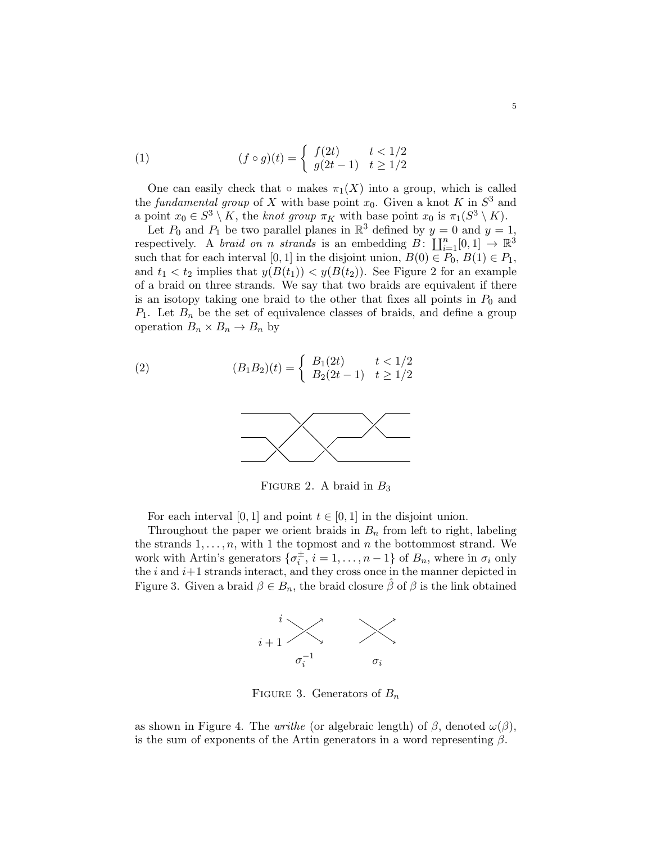(1) 
$$
(f \circ g)(t) = \begin{cases} f(2t) & t < 1/2 \\ g(2t - 1) & t \ge 1/2 \end{cases}
$$

One can easily check that  $\circ$  makes  $\pi_1(X)$  into a group, which is called the fundamental group of X with base point  $x_0$ . Given a knot K in  $S^3$  and a point  $x_0 \in S^3 \setminus K$ , the knot group  $\pi_K$  with base point  $x_0$  is  $\pi_1(S^3 \setminus K)$ .

Let  $P_0$  and  $P_1$  be two parallel planes in  $\mathbb{R}^3$  defined by  $y = 0$  and  $y = 1$ , respectively. A *braid on n strands* is an embedding  $B: \coprod_{i=1}^{n}[0,1] \rightarrow \mathbb{R}^3$ such that for each interval [0, 1] in the disjoint union,  $B(0) \in P_0$ ,  $B(1) \in P_1$ , and  $t_1 < t_2$  implies that  $y(B(t_1)) < y(B(t_2))$ . See Figure 2 for an example of a braid on three strands. We say that two braids are equivalent if there is an isotopy taking one braid to the other that fixes all points in  $P_0$  and  $P_1$ . Let  $B_n$  be the set of equivalence classes of braids, and define a group operation  $B_n \times B_n \to B_n$  by

(2) 
$$
(B_1B_2)(t) = \begin{cases} B_1(2t) & t < 1/2 \\ B_2(2t-1) & t \ge 1/2 \end{cases}
$$



FIGURE 2. A braid in  $B_3$ 

For each interval [0, 1] and point  $t \in [0, 1]$  in the disjoint union.

Throughout the paper we orient braids in  $B_n$  from left to right, labeling the strands  $1, \ldots, n$ , with 1 the topmost and n the bottommost strand. We work with Artin's generators  $\{\sigma_i^{\pm}, i = 1, \ldots, n-1\}$  of  $B_n$ , where in  $\sigma_i$  only the  $i$  and  $i+1$  strands interact, and they cross once in the manner depicted in Figure 3. Given a braid  $\beta \in B_n$ , the braid closure  $\hat{\beta}$  of  $\beta$  is the link obtained



FIGURE 3. Generators of  $B_n$ 

as shown in Figure 4. The *writhe* (or algebraic length) of  $\beta$ , denoted  $\omega(\beta)$ , is the sum of exponents of the Artin generators in a word representing  $\beta$ .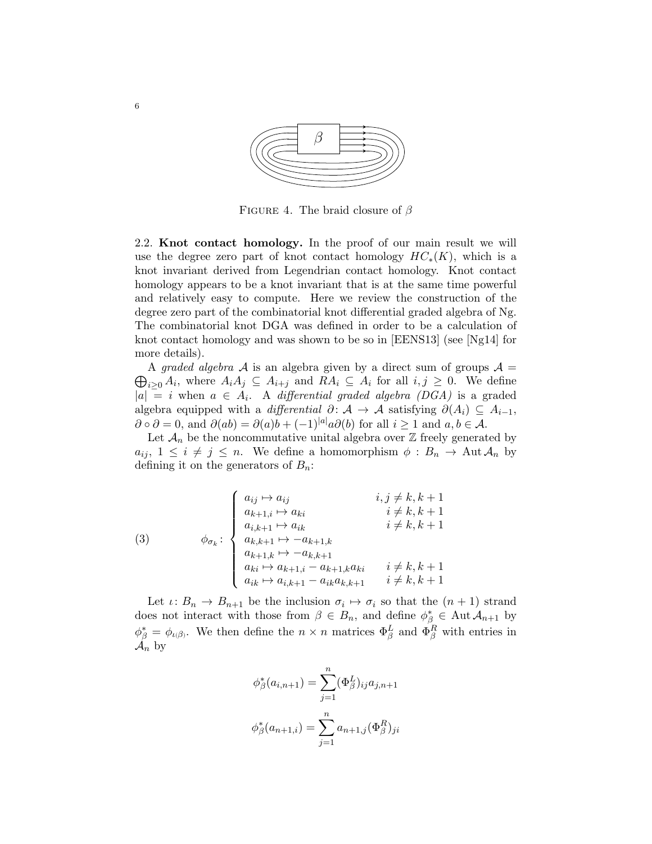

FIGURE 4. The braid closure of  $\beta$ 

2.2. Knot contact homology. In the proof of our main result we will use the degree zero part of knot contact homology  $HC_*(K)$ , which is a knot invariant derived from Legendrian contact homology. Knot contact homology appears to be a knot invariant that is at the same time powerful and relatively easy to compute. Here we review the construction of the degree zero part of the combinatorial knot differential graded algebra of Ng. The combinatorial knot DGA was defined in order to be a calculation of knot contact homology and was shown to be so in [EENS13] (see [Ng14] for more details).

 $\bigoplus_{i\geq 0} A_i$ , where  $A_i A_j \subseteq A_{i+j}$  and  $R A_i \subseteq A_i$  for all  $i,j \geq 0$ . We define A graded algebra A is an algebra given by a direct sum of groups  $A =$  $|a| = i$  when  $a \in A_i$ . A differential graded algebra (DGA) is a graded algebra equipped with a *differential*  $\partial: \mathcal{A} \to \mathcal{A}$  satisfying  $\partial(A_i) \subseteq A_{i-1}$ ,  $\partial \circ \partial = 0$ , and  $\partial(ab) = \partial(a)b + (-1)^{|a|}a\partial(b)$  for all  $i \ge 1$  and  $a, b \in \mathcal{A}$ .

Let  $\mathcal{A}_n$  be the noncommutative unital algebra over  $\mathbb Z$  freely generated by  $a_{ij}, 1 \leq i \neq j \leq n$ . We define a homomorphism  $\phi : B_n \to \text{Aut } \mathcal{A}_n$  by defining it on the generators of  $B_n$ :

(3) 
$$
\phi_{\sigma_k} : \begin{cases} a_{ij} \mapsto a_{ij} & i, j \neq k, k+1 \\ a_{k+1,i} \mapsto a_{ki} & i \neq k, k+1 \\ a_{i,k+1} \mapsto a_{ik} & i \neq k, k+1 \\ a_{k,k+1} \mapsto -a_{k+1,k} \\ a_{k+1,k} \mapsto -a_{k,k+1} \\ a_{ki} \mapsto a_{k+1,i} - a_{k+1,k} a_{ki} & i \neq k, k+1 \\ a_{ik} \mapsto a_{i,k+1} - a_{ik} a_{k,k+1} & i \neq k, k+1 \end{cases}
$$

Let  $\iota: B_n \to B_{n+1}$  be the inclusion  $\sigma_i \mapsto \sigma_i$  so that the  $(n+1)$  strand does not interact with those from  $\beta \in B_n$ , and define  $\phi^*_{\beta} \in \text{Aut } \mathcal{A}_{n+1}$  by  $\phi_{\beta}^* = \phi_{\iota(\beta)}$ . We then define the  $n \times n$  matrices  $\Phi_{\beta}^L$  and  $\Phi_{\beta}^R$  with entries in  $\mathcal{A}_n$  by

$$
\phi_{\beta}^{*}(a_{i,n+1}) = \sum_{j=1}^{n} (\Phi_{\beta}^{L})_{ij} a_{j,n+1}
$$

$$
\phi_{\beta}^{*}(a_{n+1,i}) = \sum_{j=1}^{n} a_{n+1,j} (\Phi_{\beta}^{R})_{ji}
$$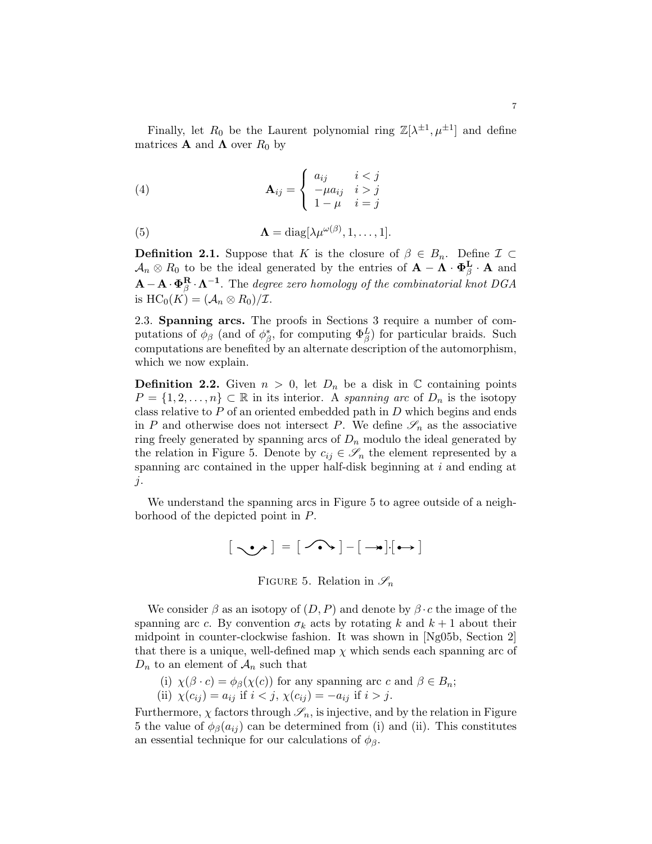Finally, let  $R_0$  be the Laurent polynomial ring  $\mathbb{Z}[\lambda^{\pm 1}, \mu^{\pm 1}]$  and define matrices **A** and  $\Lambda$  over  $R_0$  by

(4) 
$$
\mathbf{A}_{ij} = \begin{cases} a_{ij} & i < j \\ -\mu a_{ij} & i > j \\ 1 - \mu & i = j \end{cases}
$$

(5) 
$$
\mathbf{\Lambda} = \text{diag}[\lambda \mu^{\omega(\beta)}, 1, \dots, 1].
$$

**Definition 2.1.** Suppose that K is the closure of  $\beta \in B_n$ . Define  $\mathcal{I} \subset$  $\mathcal{A}_n \otimes R_0$  to be the ideal generated by the entries of  $\mathbf{A} - \mathbf{\Lambda} \cdot \mathbf{\Phi}_{\beta}^{\mathbf{L}} \cdot \mathbf{A}$  and  $\mathbf{A}-\mathbf{A}\cdot\mathbf{\Phi}_{\beta}^{\mathbf{R}}\cdot\mathbf{\Lambda}^{-1}$ . The degree zero homology of the combinatorial knot DGA is  $HC_0(K) = (\mathcal{A}_n \otimes R_0)/\mathcal{I}.$ 

2.3. Spanning arcs. The proofs in Sections 3 require a number of computations of  $\phi_{\beta}$  (and of  $\phi_{\beta}^*$ , for computing  $\Phi_{\beta}^L$ ) for particular braids. Such computations are benefited by an alternate description of the automorphism, which we now explain.

**Definition 2.2.** Given  $n > 0$ , let  $D_n$  be a disk in  $\mathbb C$  containing points  $P = \{1, 2, \ldots, n\} \subset \mathbb{R}$  in its interior. A spanning arc of  $D_n$  is the isotopy class relative to  $P$  of an oriented embedded path in  $D$  which begins and ends in P and otherwise does not intersect P. We define  $\mathscr{S}_n$  as the associative ring freely generated by spanning arcs of  $D_n$  modulo the ideal generated by the relation in Figure 5. Denote by  $c_{ij} \in \mathscr{S}_n$  the element represented by a spanning arc contained in the upper half-disk beginning at  $i$  and ending at  $j$ .

We understand the spanning arcs in Figure 5 to agree outside of a neighborhood of the depicted point in P.

$$
\begin{bmatrix} \textbf{1}_{\textbf{1}_{\text{max}}} \\ \textbf{1}_{\textbf{1}_{\text{max}}} \end{bmatrix} = \begin{bmatrix} \textbf{1}_{\textbf{1}_{\text{max}}} \\ \textbf{1}_{\textbf{1}_{\text{max}}} \end{bmatrix} - \begin{bmatrix} \textbf{1}_{\textbf{1}_{\text{max}}} \\ \textbf{1}_{\textbf{1}_{\text{max}}} \end{bmatrix} - \begin{bmatrix} \textbf{1}_{\textbf{1}_{\text{max}}} \\ \textbf{1}_{\textbf{1}_{\text{max}}} \end{bmatrix}
$$

FIGURE 5. Relation in  $\mathscr{S}_n$ 

We consider  $\beta$  as an isotopy of  $(D, P)$  and denote by  $\beta \cdot c$  the image of the spanning arc c. By convention  $\sigma_k$  acts by rotating k and  $k+1$  about their midpoint in counter-clockwise fashion. It was shown in [Ng05b, Section 2] that there is a unique, well-defined map  $\chi$  which sends each spanning arc of  $D_n$  to an element of  $\mathcal{A}_n$  such that

(i) 
$$
\chi(\beta \cdot c) = \phi_{\beta}(\chi(c))
$$
 for any spanning arc  $c$  and  $\beta \in B_n$ ;

(ii) 
$$
\chi(c_{ij}) = a_{ij}
$$
 if  $i < j$ ,  $\chi(c_{ij}) = -a_{ij}$  if  $i > j$ .

Furthermore,  $\chi$  factors through  $\mathscr{S}_n$ , is injective, and by the relation in Figure 5 the value of  $\phi_{\beta}(a_{ij})$  can be determined from (i) and (ii). This constitutes an essential technique for our calculations of  $\phi_{\beta}$ .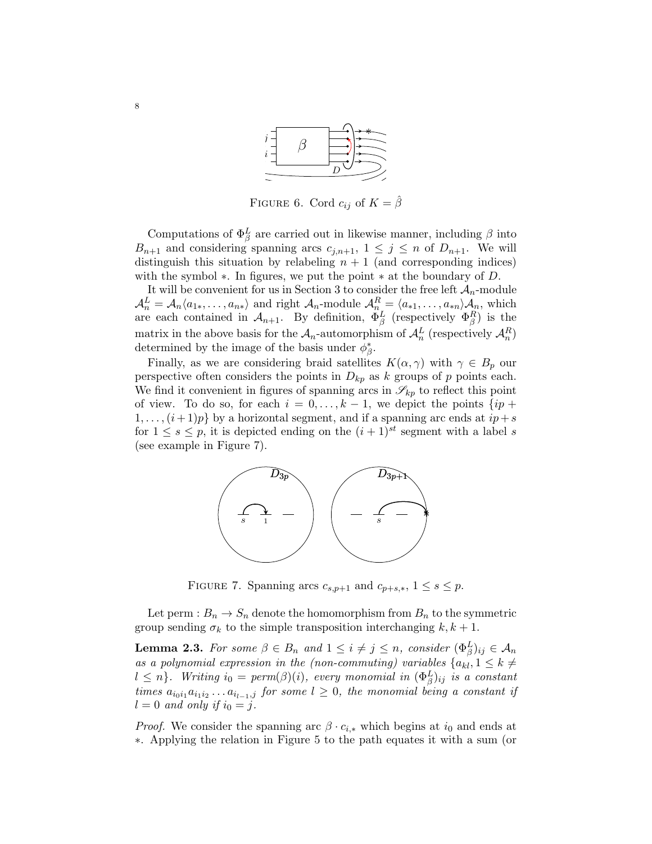

FIGURE 6. Cord  $c_{ij}$  of  $K = \hat{\beta}$ 

Computations of  $\Phi_{\beta}^{L}$  are carried out in likewise manner, including  $\beta$  into  $B_{n+1}$  and considering spanning arcs  $c_{i,n+1}$ ,  $1 \leq j \leq n$  of  $D_{n+1}$ . We will distinguish this situation by relabeling  $n + 1$  (and corresponding indices) with the symbol  $*$ . In figures, we put the point  $*$  at the boundary of D.

It will be convenient for us in Section 3 to consider the free left  $A_n$ -module  $A_n^L = A_n \langle a_{1*,}, \ldots, a_{n*} \rangle$  and right  $A_n$ -module  $A_{n}^R = \langle a_{*1}, \ldots, a_{*n} \rangle A_n$ , which are each contained in  $\mathcal{A}_{n+1}$ . By definition,  $\Phi_{\beta}^{L}$  (respectively  $\Phi_{\beta}^{R}$ ) is the matrix in the above basis for the  $A_n$ -automorphism of  $A_n^L$  (respectively  $A_n^R$ ) determined by the image of the basis under  $\phi_{\beta}^*$ .

Finally, as we are considering braid satellites  $K(\alpha, \gamma)$  with  $\gamma \in B_p$  our perspective often considers the points in  $D_{kp}$  as k groups of p points each. We find it convenient in figures of spanning arcs in  $\mathscr{S}_{kp}$  to reflect this point of view. To do so, for each  $i = 0, \ldots, k - 1$ , we depict the points  $\{ip +$  $1, \ldots, (i+1)p$  by a horizontal segment, and if a spanning arc ends at  $ip+s$ for  $1 \leq s \leq p$ , it is depicted ending on the  $(i + 1)^{st}$  segment with a label s (see example in Figure 7).



FIGURE 7. Spanning arcs  $c_{s,p+1}$  and  $c_{p+s,*}$ ,  $1 \leq s \leq p$ .

Let perm :  $B_n \to S_n$  denote the homomorphism from  $B_n$  to the symmetric group sending  $\sigma_k$  to the simple transposition interchanging  $k, k+1$ .

**Lemma 2.3.** For some  $\beta \in B_n$  and  $1 \leq i \neq j \leq n$ , consider  $(\Phi_{\beta}^L)_{ij} \in \mathcal{A}_n$ as a polynomial expression in the (non-commuting) variables  $\{a_{kl}, 1 \leq k \neq l\}$  $l \leq n$ . Writing  $i_0 = \text{perm}(\beta)(i)$ , every monomial in  $(\Phi_{\beta}^L)_{ij}$  is a constant times  $a_{i_0i_1}a_{i_1i_2}...a_{i_{l-1},j}$  for some  $l \geq 0$ , the monomial being a constant if  $l = 0$  and only if  $i_0 = j$ .

*Proof.* We consider the spanning arc  $\beta \cdot c_{i,*}$  which begins at  $i_0$  and ends at ∗. Applying the relation in Figure 5 to the path equates it with a sum (or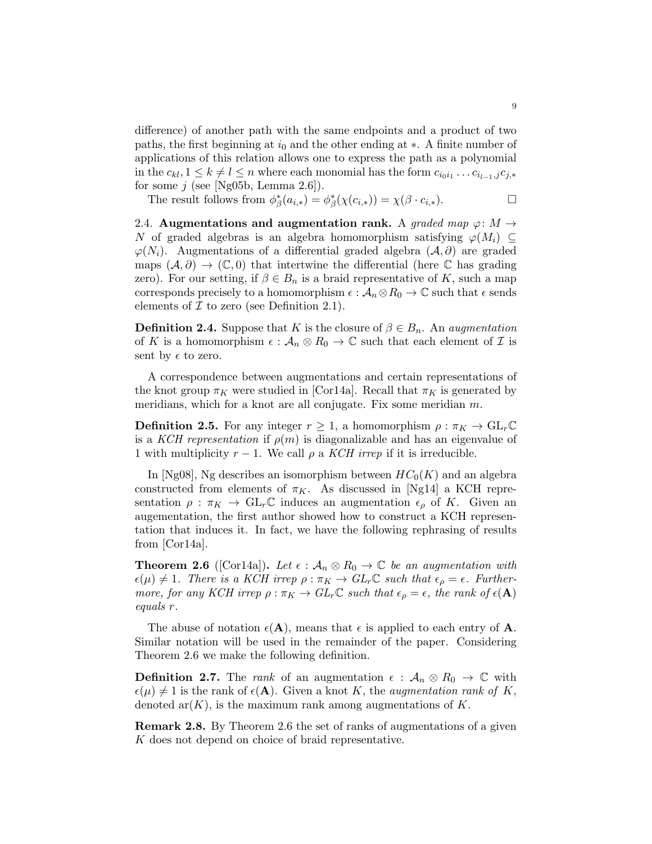difference) of another path with the same endpoints and a product of two paths, the first beginning at  $i_0$  and the other ending at  $\ast$ . A finite number of applications of this relation allows one to express the path as a polynomial in the  $c_{kl}$ ,  $1 \leq k \neq l \leq n$  where each monomial has the form  $c_{i_0i_1} \ldots c_{i_{l-1},j}c_{j,*}$ for some  $j$  (see [Ng05b, Lemma 2.6]).

The result follows from  $\phi^*_{\beta}(a_{i,*}) = \phi^*_{\beta}(\chi(c_{i,*})) = \chi(\beta \cdot c_{i,*}).$ 

2.4. Augmentations and augmentation rank. A graded map  $\varphi: M \to$ N of graded algebras is an algebra homomorphism satisfying  $\varphi(M_i) \subseteq$  $\varphi(N_i)$ . Augmentations of a differential graded algebra  $(\mathcal{A}, \partial)$  are graded maps  $(\mathcal{A}, \partial) \to (\mathbb{C}, 0)$  that intertwine the differential (here  $\mathbb{C}$  has grading zero). For our setting, if  $\beta \in B_n$  is a braid representative of K, such a map corresponds precisely to a homomorphism  $\epsilon : A_n \otimes R_0 \to \mathbb{C}$  such that  $\epsilon$  sends elements of  $\mathcal I$  to zero (see Definition 2.1).

**Definition 2.4.** Suppose that K is the closure of  $\beta \in B_n$ . An *augmentation* of K is a homomorphism  $\epsilon : A_n \otimes R_0 \to \mathbb{C}$  such that each element of  $\mathcal I$  is sent by  $\epsilon$  to zero.

A correspondence between augmentations and certain representations of the knot group  $\pi_K$  were studied in [Cor14a]. Recall that  $\pi_K$  is generated by meridians, which for a knot are all conjugate. Fix some meridian  $m$ .

**Definition 2.5.** For any integer  $r \geq 1$ , a homomorphism  $\rho : \pi_K \to GL_r\mathbb{C}$ is a KCH representation if  $\rho(m)$  is diagonalizable and has an eigenvalue of 1 with multiplicity  $r - 1$ . We call  $\rho$  a *KCH irrep* if it is irreducible.

In [Ng08], Ng describes an isomorphism between  $HC_0(K)$  and an algebra constructed from elements of  $\pi_K$ . As discussed in [Ng14] a KCH representation  $\rho : \pi_K \to GL_r\mathbb{C}$  induces an augmentation  $\epsilon_\rho$  of K. Given an augementation, the first author showed how to construct a KCH representation that induces it. In fact, we have the following rephrasing of results from [Cor14a].

**Theorem 2.6** ([Cor14a]). Let  $\epsilon : A_n \otimes R_0 \to \mathbb{C}$  be an augmentation with  $\epsilon(\mu) \neq 1$ . There is a KCH irrep  $\rho : \pi_K \to GL_r\mathbb{C}$  such that  $\epsilon_\rho = \epsilon$ . Furthermore, for any KCH irrep  $\rho : \pi_K \to GL_r\mathbb{C}$  such that  $\epsilon_\rho = \epsilon$ , the rank of  $\epsilon(\mathbf{A})$ equals r.

The abuse of notation  $\epsilon(A)$ , means that  $\epsilon$  is applied to each entry of A. Similar notation will be used in the remainder of the paper. Considering Theorem 2.6 we make the following definition.

**Definition 2.7.** The *rank* of an augmentation  $\epsilon$ :  $\mathcal{A}_n \otimes R_0 \to \mathbb{C}$  with  $\epsilon(\mu) \neq 1$  is the rank of  $\epsilon(\mathbf{A})$ . Given a knot K, the *augmentation rank of* K, denoted  $ar(K)$ , is the maximum rank among augmentations of K.

Remark 2.8. By Theorem 2.6 the set of ranks of augmentations of a given K does not depend on choice of braid representative.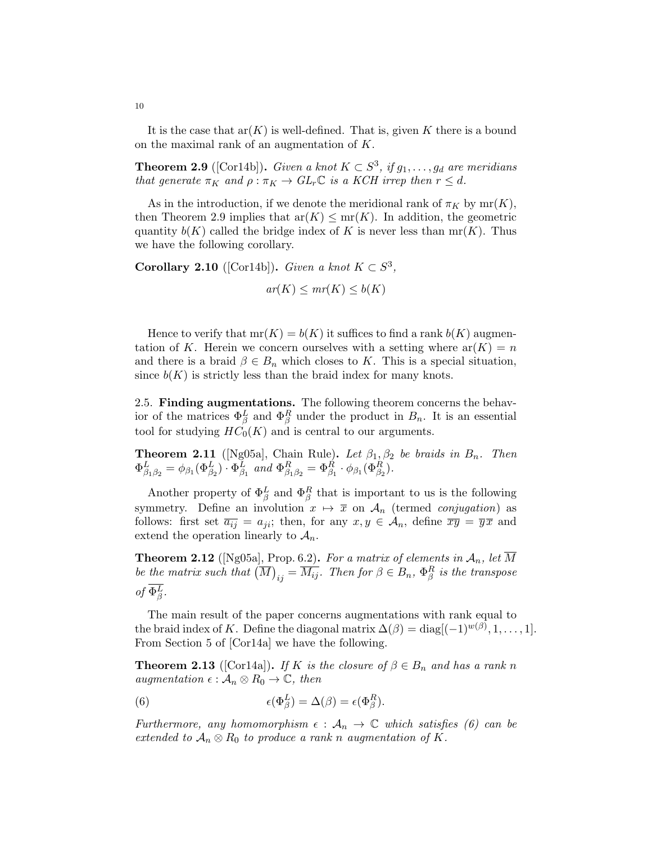It is the case that  $ar(K)$  is well-defined. That is, given K there is a bound on the maximal rank of an augmentation of K.

**Theorem 2.9** ([Cor14b]). Given a knot  $K \subset S^3$ , if  $g_1, \ldots, g_d$  are meridians that generate  $\pi_K$  and  $\rho : \pi_K \to GL_r\mathbb{C}$  is a KCH irrep then  $r \leq d$ .

As in the introduction, if we denote the meridional rank of  $\pi_K$  by  $mr(K)$ , then Theorem 2.9 implies that  $ar(K) \le mr(K)$ . In addition, the geometric quantity  $b(K)$  called the bridge index of K is never less than mr(K). Thus we have the following corollary.

Corollary 2.10 ([Cor14b]). Given a knot  $K \subset S^3$ ,

 $ar(K) \leq mr(K) \leq b(K)$ 

Hence to verify that  $mr(K) = b(K)$  it suffices to find a rank  $b(K)$  augmentation of K. Herein we concern ourselves with a setting where  $ar(K) = n$ and there is a braid  $\beta \in B_n$  which closes to K. This is a special situation, since  $b(K)$  is strictly less than the braid index for many knots.

2.5. Finding augmentations. The following theorem concerns the behavior of the matrices  $\Phi_{\beta}^{L}$  and  $\Phi_{\beta}^{R}$  under the product in  $B_n$ . It is an essential tool for studying  $HC_0(K)$  and is central to our arguments.

**Theorem 2.11** ([Ng05a], Chain Rule). Let  $\beta_1, \beta_2$  be braids in  $B_n$ . Then  $\Phi_{\beta_1\beta_2}^L = \phi_{\beta_1}(\Phi_{\beta_2}^L) \cdot \Phi_{\beta_1}^L$  and  $\Phi_{\beta_1\beta_2}^R = \Phi_{\beta_1}^R \cdot \phi_{\beta_1}(\Phi_{\beta_2}^R)$ .

Another property of  $\Phi_{\beta}^{L}$  and  $\Phi_{\beta}^{R}$  that is important to us is the following symmetry. Define an involution  $x \mapsto \overline{x}$  on  $\mathcal{A}_n$  (termed conjugation) as follows: first set  $\overline{a_{ij}} = a_{ji}$ ; then, for any  $x, y \in A_n$ , define  $\overline{xy} = \overline{y}\overline{x}$  and extend the operation linearly to  $\mathcal{A}_n$ .

**Theorem 2.12** ([Ng05a], Prop. 6.2). For a matrix of elements in  $\mathcal{A}_n$ , let  $\overline{M}$ be the matrix such that  $(\overline{M})_{ij} = \overline{M_{ij}}$ . Then for  $\beta \in B_n$ ,  $\Phi_{\beta}^R$  is the transpose of  $\Phi_{\beta}^{L}$ .

The main result of the paper concerns augmentations with rank equal to the braid index of K. Define the diagonal matrix  $\Delta(\beta) = \text{diag}[(-1)^{w(\beta)}, 1, \ldots, 1].$ From Section 5 of [Cor14a] we have the following.

**Theorem 2.13** ([Cor14a]). If K is the closure of  $\beta \in B_n$  and has a rank n augmentation  $\epsilon : A_n \otimes R_0 \to \mathbb{C}$ , then

(6) 
$$
\epsilon(\Phi_{\beta}^{L}) = \Delta(\beta) = \epsilon(\Phi_{\beta}^{R}).
$$

Furthermore, any homomorphism  $\epsilon : A_n \to \mathbb{C}$  which satisfies (6) can be extended to  $A_n \otimes R_0$  to produce a rank n augmentation of K.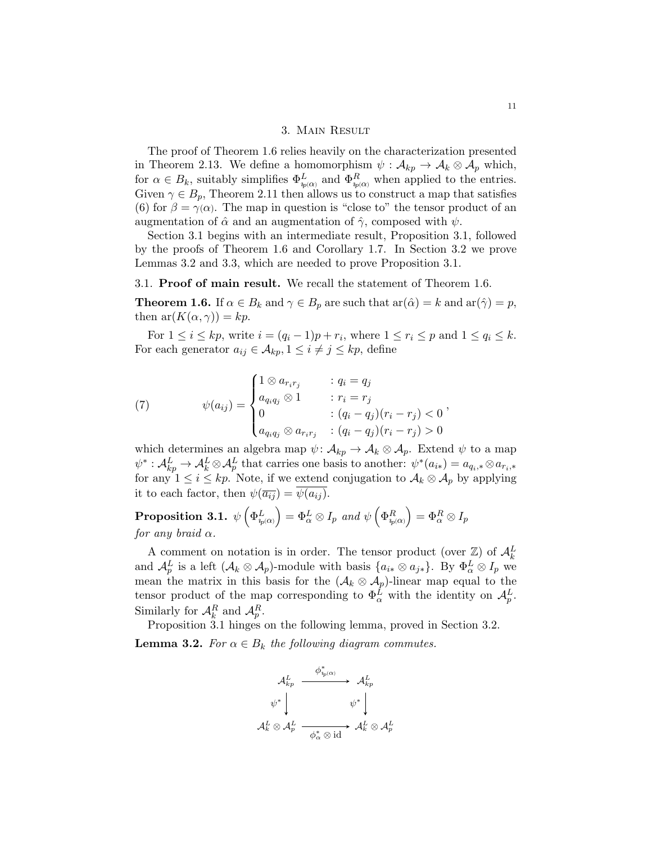# 3. Main Result

The proof of Theorem 1.6 relies heavily on the characterization presented in Theorem 2.13. We define a homomorphism  $\psi : A_{kp} \to A_k \otimes A_p$  which, for  $\alpha \in B_k$ , suitably simplifies  $\Phi_{\psi^{(\alpha)}}^L$  and  $\Phi_{\psi^{(\alpha)}}^R$  when applied to the entries. Given  $\gamma \in B_p$ , Theorem 2.11 then allows us to construct a map that satisfies (6) for  $\beta = \gamma(\alpha)$ . The map in question is "close to" the tensor product of an augmentation of  $\hat{\alpha}$  and an augmentation of  $\hat{\gamma}$ , composed with  $\psi$ .

Section 3.1 begins with an intermediate result, Proposition 3.1, followed by the proofs of Theorem 1.6 and Corollary 1.7. In Section 3.2 we prove Lemmas 3.2 and 3.3, which are needed to prove Proposition 3.1.

## 3.1. Proof of main result. We recall the statement of Theorem 1.6.

**Theorem 1.6.** If  $\alpha \in B_k$  and  $\gamma \in B_p$  are such that  $ar(\hat{\alpha}) = k$  and  $ar(\hat{\gamma}) = p$ , then  $ar(K(\alpha, \gamma)) = kp$ .

For  $1 \leq i \leq kp$ , write  $i = (q_i - 1)p + r_i$ , where  $1 \leq r_i \leq p$  and  $1 \leq q_i \leq k$ . For each generator  $a_{ij} \in \mathcal{A}_{kp}$ ,  $1 \leq i \neq j \leq kp$ , define

(7) 
$$
\psi(a_{ij}) = \begin{cases} 1 \otimes a_{r_i r_j} & : q_i = q_j \\ a_{q_i q_j} \otimes 1 & : r_i = r_j \\ 0 & : (q_i - q_j)(r_i - r_j) < 0 \\ a_{q_i q_j} \otimes a_{r_i r_j} & : (q_i - q_j)(r_i - r_j) > 0 \end{cases}
$$

which determines an algebra map  $\psi: \mathcal{A}_{kp} \to \mathcal{A}_k \otimes \mathcal{A}_p$ . Extend  $\psi$  to a map  $\psi^*: A_{kp}^L \to A_k^L \otimes A_p^L$  that carries one basis to another:  $\psi^*(a_{i*}) = a_{q_i,*} \otimes a_{r_i,*}$ for any  $1 \leq i \leq kp$ . Note, if we extend conjugation to  $\mathcal{A}_k \otimes \mathcal{A}_p$  by applying it to each factor, then  $\psi(\overline{a_{ij}}) = \overline{\psi(a_{ij})}$ .

 $\textbf{Proposition 3.1.} \ \ \psi\left(\Phi^L_{\psi^{(\alpha)}}\right) = \Phi^L_{\alpha} \otimes I_p \ \ and \ \psi\left(\Phi^R_{\psi^{(\alpha)}}\right) = \Phi^R_{\alpha} \otimes I_p$ for any braid  $\alpha$ .

A comment on notation is in order. The tensor product (over  $\mathbb{Z}$ ) of  $\mathcal{A}_{k}^{L}$ and  $\mathcal{A}_{p}^{L}$  is a left  $(\mathcal{A}_{k} \otimes \mathcal{A}_{p})$ -module with basis  $\{a_{i*} \otimes a_{j*}\}\$ . By  $\Phi_{\alpha}^{L} \otimes I_{p}$  we mean the matrix in this basis for the  $(\mathcal{A}_k \otimes \mathcal{A}_p)$ -linear map equal to the tensor product of the map corresponding to  $\Phi_{\alpha}^{L}$  with the identity on  $\mathcal{A}_{p}^{L}$ . Similarly for  $\mathcal{A}_k^R$  and  $\mathcal{A}_p^R$ .

Proposition 3.1 hinges on the following lemma, proved in Section 3.2. **Lemma 3.2.** For  $\alpha \in B_k$  the following diagram commutes.

$$
\begin{array}{ccc}\n{\cal A}_{kp}^L&\stackrel{\phi_{\ast_{p}(\alpha)}^*}{\longrightarrow}&{\cal A}_{kp}^L\\ {\psi^*}&&&\psi^*\end{array}
$$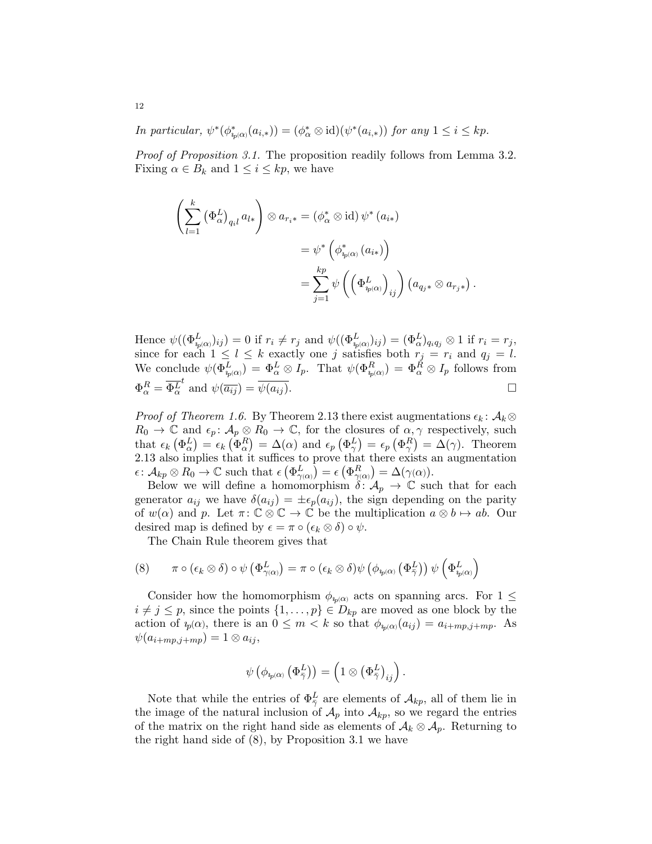In particular,  $\psi^*(\phi^*_{i_{p(\alpha)}}(a_{i,*})) = (\phi^*_{\alpha} \otimes id)(\psi^*(a_{i,*}))$  for any  $1 \leq i \leq kp$ .

Proof of Proposition 3.1. The proposition readily follows from Lemma 3.2. Fixing  $\alpha \in B_k$  and  $1 \leq i \leq kp$ , we have

$$
\left(\sum_{l=1}^{k} (\Phi_{\alpha}^{L})_{q_{i}l} a_{l*}\right) \otimes a_{r_{i}*} = (\phi_{\alpha}^{*} \otimes id) \psi^{*}(a_{i*})
$$
  

$$
= \psi^{*} \left(\phi_{i_{p}(\alpha)}^{*}(a_{i*})\right)
$$
  

$$
= \sum_{j=1}^{kp} \psi \left(\left(\Phi_{i_{p}(\alpha)}^{L}\right)_{ij}\right) \left(a_{q_{j}*} \otimes a_{r_{j}*}\right).
$$

Hence  $\psi((\Phi_{\psi(\alpha)}^L)_{ij})=0$  if  $r_i \neq r_j$  and  $\psi((\Phi_{\psi(\alpha)}^L)_{ij})=(\Phi_{\alpha}^L)_{q_iq_j} \otimes 1$  if  $r_i=r_j$ , since for each  $1 \leq l \leq k$  exactly one j satisfies both  $r_j = r_i$  and  $q_j = l$ . We conclude  $\psi(\Phi_{i_p(\alpha)}^L) = \Phi_{\alpha}^L \otimes I_p$ . That  $\psi(\Phi_{i_p(\alpha)}^R) = \Phi_{\alpha}^R \otimes I_p$  follows from  $\Phi^R_{\alpha}=\overline{\Phi^L_{\alpha}}$ t and  $\psi(\overline{a_{ij}}) = \overline{\psi(a_{ij})}$ .

*Proof of Theorem 1.6.* By Theorem 2.13 there exist augmentations  $\epsilon_k$ :  $\mathcal{A}_k \otimes$  $R_0 \to \mathbb{C}$  and  $\epsilon_p: \mathcal{A}_p \otimes R_0 \to \mathbb{C}$ , for the closures of  $\alpha, \gamma$  respectively, such that  $\epsilon_k (\Phi_{\alpha}^L) = \epsilon_k (\Phi_{\alpha}^R) = \Delta(\alpha)$  and  $\epsilon_p (\Phi_{\gamma}^L) = \epsilon_p (\Phi_{\gamma}^R) = \Delta(\gamma)$ . Theorem 2.13 also implies that it suffices to prove that there exists an augmentation  $\epsilon \colon \mathcal{A}_{kp} \otimes R_0 \to \mathbb{C}$  such that  $\epsilon \left( \Phi_{\gamma(\alpha)}^L \right) = \epsilon \left( \Phi_{\gamma(\alpha)}^R \right) = \Delta(\gamma(\alpha)).$ 

Below we will define a homomorphism  $\delta: A_p \to \mathbb{C}$  such that for each generator  $a_{ij}$  we have  $\delta(a_{ij}) = \pm \epsilon_p(a_{ij})$ , the sign depending on the parity of  $w(\alpha)$  and p. Let  $\pi: \mathbb{C} \otimes \mathbb{C} \to \mathbb{C}$  be the multiplication  $a \otimes b \mapsto ab$ . Our desired map is defined by  $\epsilon = \pi \circ (\epsilon_k \otimes \delta) \circ \psi$ .

The Chain Rule theorem gives that

$$
(8) \qquad \pi \circ (\epsilon_{k} \otimes \delta) \circ \psi (\Phi_{\gamma(\alpha)}^{L}) = \pi \circ (\epsilon_{k} \otimes \delta) \psi (\phi_{\psi(\alpha)} (\Phi_{\overline{\gamma}}^{L})) \psi (\Phi_{\psi(\alpha)}^{L})
$$

Consider how the homomorphism  $\phi_{\psi(\alpha)}$  acts on spanning arcs. For  $1 \leq$  $i \neq j \leq p$ , since the points  $\{1, \ldots, p\} \in D_{kp}$  are moved as one block by the action of  $u_p(\alpha)$ , there is an  $0 \leq m < k$  so that  $\phi_{u_p(\alpha)}(a_{ij}) = a_{i+mp,j+mp}$ . As  $\psi(a_{i+mp,j+mp}) = 1 \otimes a_{ij},$ 

$$
\psi\left(\phi_{i_{p}(\alpha)}\left(\Phi_{\overline{\gamma}}^{L}\right)\right)=\left(1\otimes\left(\Phi_{\overline{\gamma}}^{L}\right)_{ij}\right).
$$

Note that while the entries of  $\Phi_{\bar{\gamma}}^L$  are elements of  $\mathcal{A}_{kp}$ , all of them lie in the image of the natural inclusion of  $\mathcal{A}_p$  into  $\mathcal{A}_{kp}$ , so we regard the entries of the matrix on the right hand side as elements of  $\mathcal{A}_k \otimes \mathcal{A}_p$ . Returning to the right hand side of (8), by Proposition 3.1 we have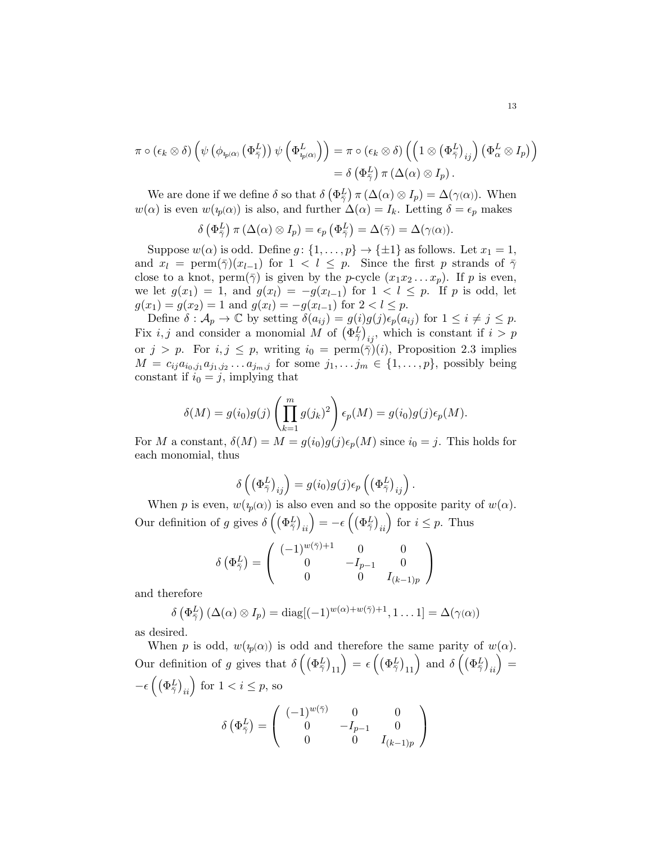$$
\pi \circ (\epsilon_k \otimes \delta) \left( \psi \left( \phi_{i_{p(\alpha)}} \left( \Phi_{\bar{\gamma}}^{L} \right) \right) \psi \left( \Phi_{i_{p(\alpha)}}^{L} \right) \right) = \pi \circ (\epsilon_k \otimes \delta) \left( \left( 1 \otimes \left( \Phi_{\bar{\gamma}}^{L} \right)_{ij} \right) \left( \Phi_{\alpha}^{L} \otimes I_p \right) \right) \n= \delta \left( \Phi_{\bar{\gamma}}^{L} \right) \pi \left( \Delta(\alpha) \otimes I_p \right).
$$

We are done if we define  $\delta$  so that  $\delta (\Phi_{\overline{\gamma}}^L) \pi (\Delta(\alpha) \otimes I_p) = \Delta(\gamma(\alpha))$ . When  $w(\alpha)$  is even  $w(p(\alpha))$  is also, and further  $\Delta(\alpha) = I_k$ . Letting  $\delta = \epsilon_p$  makes

$$
\delta\left(\Phi_{\overline{\gamma}}^L\right)\pi\left(\Delta(\alpha)\otimes I_p\right)=\epsilon_p\left(\Phi_{\overline{\gamma}}^L\right)=\Delta(\overline{\gamma})=\Delta(\gamma(\alpha)).
$$

Suppose  $w(\alpha)$  is odd. Define  $g: \{1, \ldots, p\} \rightarrow \{\pm 1\}$  as follows. Let  $x_1 = 1$ , and  $x_l = \text{perm}(\bar{\gamma})(x_{l-1})$  for  $1 < l \leq p$ . Since the first p strands of  $\bar{\gamma}$ close to a knot, perm $(\bar{\gamma})$  is given by the *p*-cycle  $(x_1x_2...x_p)$ . If *p* is even, we let  $g(x_1) = 1$ , and  $g(x_l) = -g(x_{l-1})$  for  $1 < l \leq p$ . If p is odd, let  $g(x_1) = g(x_2) = 1$  and  $g(x_l) = -g(x_{l-1})$  for  $2 < l \leq p$ .

Define  $\delta : A_p \to \mathbb{C}$  by setting  $\delta(a_{ij}) = g(i)g(j)\epsilon_p(a_{ij})$  for  $1 \leq i \neq j \leq p$ . Fix  $i, j$  and consider a monomial M of  $(\Phi_{\bar{\gamma}}^L)_{ij}$ , which is constant if  $i > p$ or  $j > p$ . For  $i, j \leq p$ , writing  $i_0 = \text{perm}(\bar{\gamma})(i)$ , Proposition 2.3 implies  $M = c_{ij}a_{i_0,j_1}a_{j_1,j_2}\ldots a_{j_m,j}$  for some  $j_1,\ldots j_m \in \{1,\ldots,p\}$ , possibly being constant if  $i_0 = j$ , implying that

$$
\delta(M) = g(i_0)g(j)\left(\prod_{k=1}^m g(j_k)^2\right)\epsilon_p(M) = g(i_0)g(j)\epsilon_p(M).
$$

For M a constant,  $\delta(M) = M = g(i_0)g(j)\epsilon_p(M)$  since  $i_0 = j$ . This holds for each monomial, thus

$$
\delta\left(\left(\Phi_{\bar{\gamma}}^L\right)_{ij}\right) = g(i_0)g(j)\epsilon_p\left(\left(\Phi_{\bar{\gamma}}^L\right)_{ij}\right).
$$

When p is even,  $w(i_n(\alpha))$  is also even and so the opposite parity of  $w(\alpha)$ . Our definition of g gives  $\delta\left(\left(\Phi_{\bar{\gamma}}^L\right)_{ii}\right) = -\epsilon\left(\left(\Phi_{\bar{\gamma}}^L\right)_{ii}\right)$  for  $i \leq p$ . Thus

$$
\delta\left(\Phi_{\bar{\gamma}}^L\right) = \left(\begin{array}{ccc} (-1)^{w(\bar{\gamma})+1} & 0 & 0\\ 0 & -I_{p-1} & 0\\ 0 & 0 & I_{(k-1)p} \end{array}\right)
$$

and therefore

$$
\delta\left(\Phi_{\bar{\gamma}}^L\right)(\Delta(\alpha)\otimes I_p) = \text{diag}[(-1)^{w(\alpha)+w(\bar{\gamma})+1}, 1 \dots 1] = \Delta(\gamma(\alpha))
$$

as desired.

When p is odd,  $w(y_1(\alpha))$  is odd and therefore the same parity of  $w(\alpha)$ . Our definition of g gives that  $\delta\left(\left(\Phi_{\bar{\gamma}}^L\right)_{11}\right) = \epsilon\left(\left(\Phi_{\bar{\gamma}}^L\right)_{11}\right)$  and  $\delta\left(\left(\Phi_{\bar{\gamma}}^L\right)_{ii}\right) =$  $-\epsilon \left( \left( \Phi^L_{\bar{\gamma}} \right)_{ii} \right)$  for  $1 < i \leq p$ , so  $\delta\left(\Phi_{\bar{\gamma}}^{L}\right)=$  $\sqrt{ }$  $\mathcal{L}$  $(-1)^{w(\bar{\gamma})}$  0 0 0  $-I_{p-1}$  0 0 0  $I_{(k-1)p}$  $\setminus$  $\overline{1}$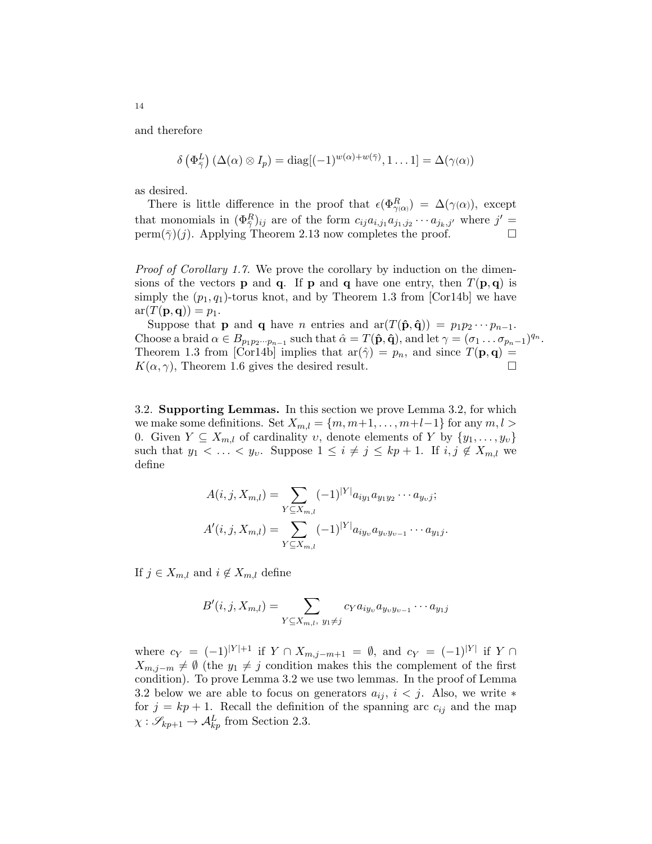and therefore

$$
\delta\left(\Phi_{\bar{\gamma}}^L\right)(\Delta(\alpha)\otimes I_p)=\mathrm{diag}[(-1)^{w(\alpha)+w(\bar{\gamma})},1\ldots 1]=\Delta(\gamma(\alpha))
$$

as desired.

There is little difference in the proof that  $\epsilon(\Phi_{\gamma(\alpha)}^R) = \Delta(\gamma(\alpha))$ , except that monomials in  $(\Phi_{\bar{\gamma}}^R)_{ij}$  are of the form  $c_{ij}a_{i,j_1}a_{j_1,j_2}\cdots a_{j_k,j'}$  where  $j' =$ perm( $\bar{\gamma}$ )(j). Applying Theorem 2.13 now completes the proof.  $\Box$ 

Proof of Corollary 1.7. We prove the corollary by induction on the dimensions of the vectors **p** and **q**. If **p** and **q** have one entry, then  $T(\mathbf{p}, \mathbf{q})$  is simply the  $(p_1, q_1)$ -torus knot, and by Theorem 1.3 from [Cor14b] we have  $ar(T(\mathbf{p}, \mathbf{q})) = p_1.$ 

Suppose that **p** and **q** have *n* entries and  $ar(T(\hat{\bf{p}}, \hat{\bf{q}})) = p_1 p_2 \cdots p_{n-1}$ . Choose a braid  $\alpha \in B_{p_1p_2\cdots p_{n-1}}$  such that  $\hat{\alpha} = T(\hat{\mathbf{p}}, \hat{\mathbf{q}})$ , and let  $\gamma = (\sigma_1 \dots \sigma_{p_n-1})^{q_n}$ . Theorem 1.3 from [Cor14b] implies that  $ar(\hat{\gamma}) = p_n$ , and since  $T(\mathbf{p}, \mathbf{q}) =$  $K(\alpha, \gamma)$ , Theorem 1.6 gives the desired result.

3.2. Supporting Lemmas. In this section we prove Lemma 3.2, for which we make some definitions. Set  $X_{m,l} = \{m, m+1, \ldots, m+l-1\}$  for any  $m, l >$ 0. Given  $Y \subseteq X_{m,l}$  of cardinality v, denote elements of Y by  $\{y_1, \ldots, y_v\}$ such that  $y_1 < \ldots < y_v$ . Suppose  $1 \leq i \neq j \leq kp+1$ . If  $i, j \notin X_{m,l}$  we define

$$
A(i, j, X_{m,l}) = \sum_{Y \subseteq X_{m,l}} (-1)^{|Y|} a_{iy_1} a_{y_1 y_2} \cdots a_{y_v j};
$$
  

$$
A'(i, j, X_{m,l}) = \sum_{Y \subseteq X_{m,l}} (-1)^{|Y|} a_{iy_v} a_{y_v y_{v-1}} \cdots a_{y_1 j}.
$$

If  $j \in X_{m,l}$  and  $i \notin X_{m,l}$  define

$$
B'(i, j, X_{m,l}) = \sum_{Y \subseteq X_{m,l}, y_1 \neq j} c_Y a_{iy_v} a_{y_v y_{v-1}} \cdots a_{y_1 j}
$$

where  $c_Y = (-1)^{|Y|+1}$  if  $Y \cap X_{m,j-m+1} = \emptyset$ , and  $c_Y = (-1)^{|Y|}$  if  $Y \cap Y$  $X_{m,j-m} \neq \emptyset$  (the  $y_1 \neq j$  condition makes this the complement of the first condition). To prove Lemma 3.2 we use two lemmas. In the proof of Lemma 3.2 below we are able to focus on generators  $a_{ij}$ ,  $i < j$ . Also, we write  $*$ for  $j = kp + 1$ . Recall the definition of the spanning arc  $c_{ij}$  and the map  $\chi: \mathscr{S}_{kp+1} \to \mathcal{A}_{kp}^L$  from Section 2.3.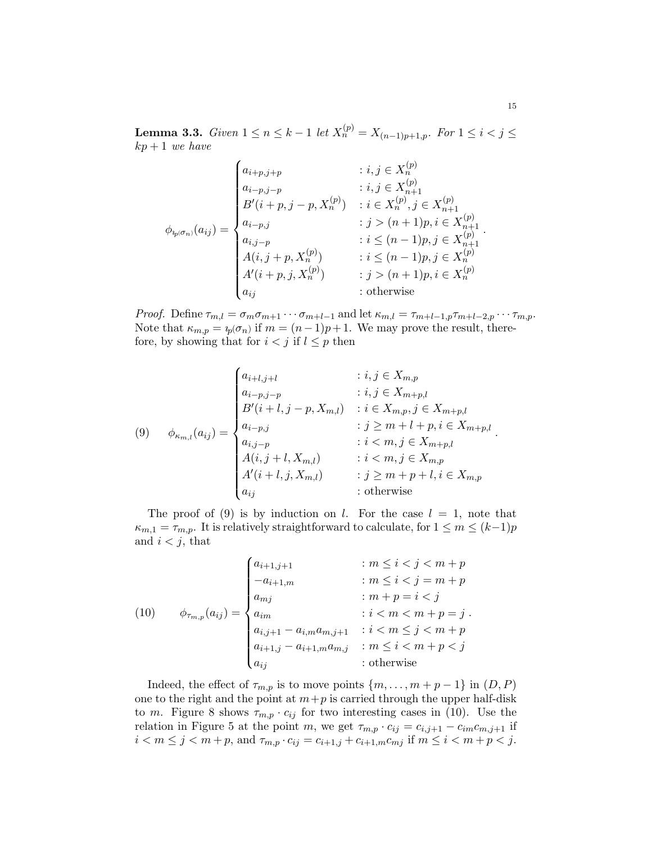**Lemma 3.3.** Given  $1 \le n \le k-1$  let  $X_n^{(p)} = X_{(n-1)p+1,p}$ . For  $1 \le i < j \le k$  $kp+1$  we have

$$
\phi_{i_{p}(\sigma_{n})}(a_{ij}) = \begin{cases}\na_{i+p,j+p} & : i, j \in X_{n}^{(p)} \\
a_{i-p,j-p} & : i, j \in X_{n+1}^{(p)} \\
B'(i+p, j-p, X_{n}^{(p)}) & : i \in X_{n}^{(p)}, j \in X_{n+1}^{(p)} \\
a_{i-p,j} & : j > (n+1)p, i \in X_{n+1}^{(p)} \\
a_{i,j-p} & : i \le (n-1)p, j \in X_{n+1}^{(p)} \\
A(i, j+p, X_{n}^{(p)}) & : i \le (n-1)p, j \in X_{n}^{(p)} \\
A'(i+p, j, X_{n}^{(p)}) & : j > (n+1)p, i \in X_{n}^{(p)} \\
a_{ij} & : \text{otherwise}\n\end{cases}
$$

*Proof.* Define  $\tau_{m,l} = \sigma_m \sigma_{m+1} \cdots \sigma_{m+l-1}$  and let  $\kappa_{m,l} = \tau_{m+l-1,p} \tau_{m+l-2,p} \cdots \tau_{m,p}$ . Note that  $\kappa_{m,p} = i_p(\sigma_n)$  if  $m = (n-1)p + 1$ . We may prove the result, therefore, by showing that for  $i < j$  if  $l \leq p$  then

(9) 
$$
\phi_{\kappa_{m,l}}(a_{ij}) = \begin{cases} a_{i+l,j+l} & : i, j \in X_{m,p} \\ a_{i-p,j-p} & : i, j \in X_{m+p,l} \\ B'(i+l,j-p,X_{m,l}) & : i \in X_{m,p}, j \in X_{m+p,l} \\ a_{i-p,j} & : j \geq m+l+p, i \in X_{m+p,l} \\ a_{i,j-p} & : i < m, j \in X_{m+p,l} \\ A(i, j+l, X_{m,l}) & : i < m, j \in X_{m,p} \\ A'(i+l,j, X_{m,l}) & : j \geq m+p+l, i \in X_{m,p} \\ a_{ij} & : \text{otherwise} \end{cases}.
$$

The proof of (9) is by induction on l. For the case  $l = 1$ , note that  $\kappa_{m,1} = \tau_{m,p}$ . It is relatively straightforward to calculate, for  $1 \leq m \leq (k-1)p$ and  $i < j$ , that

(10) 
$$
\phi_{\tau_{m,p}}(a_{ij}) = \begin{cases} a_{i+1,j+1} & : m \leq i < j < m+p \\ -a_{i+1,m} & : m \leq i < j = m+p \\ a_{mj} & : m+p = i < j \\ a_{im} & : i < m < m+p = j \\ a_{i,j+1} - a_{i,m}a_{m,j+1} & : i < m \leq j < m+p \\ a_{i+1,j} - a_{i+1,m}a_{m,j} & : m \leq i < m+p < j \\ a_{ij} & : \text{otherwise} \end{cases}
$$

Indeed, the effect of  $\tau_{m,p}$  is to move points  $\{m, \ldots, m+p-1\}$  in  $(D, P)$ one to the right and the point at  $m+p$  is carried through the upper half-disk to m. Figure 8 shows  $\tau_{m,p} \cdot c_{ij}$  for two interesting cases in (10). Use the relation in Figure 5 at the point m, we get  $\tau_{m,p} \cdot c_{ij} = c_{i,j+1} - c_{im}c_{m,j+1}$  if  $i < m \leq j < m+p$ , and  $\tau_{m,p} \cdot c_{ij} = c_{i+1,j} + c_{i+1,m} c_{mj}$  if  $m \leq i < m+p < j$ .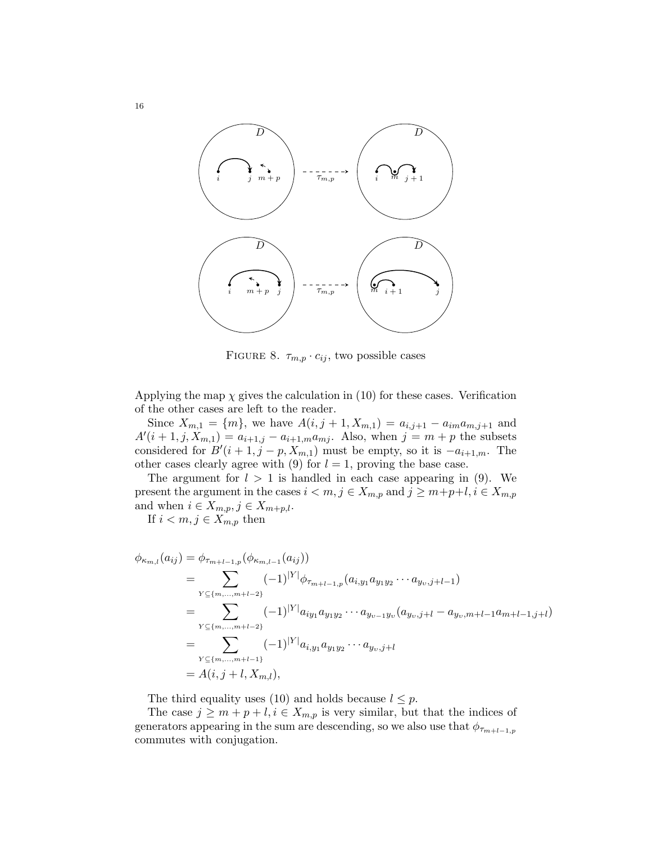

FIGURE 8.  $\tau_{m,p} \cdot c_{ij}$ , two possible cases

Applying the map  $\chi$  gives the calculation in (10) for these cases. Verification of the other cases are left to the reader.

Since  $X_{m,1} = \{m\}$ , we have  $A(i, j + 1, X_{m,1}) = a_{i,j+1} - a_{im}a_{m,j+1}$  and  $A'(i + 1, j, X_{m,1}) = a_{i+1,j} - a_{i+1,m} a_{mj}$ . Also, when  $j = m + p$  the subsets considered for  $B'(i + 1, j - p, X_{m,1})$  must be empty, so it is  $-a_{i+1,m}$ . The other cases clearly agree with (9) for  $l = 1$ , proving the base case.

The argument for  $l > 1$  is handled in each case appearing in (9). We present the argument in the cases  $i < m, j \in X_{m,p}$  and  $j \geq m+p+l, i \in X_{m,p}$ and when  $i \in X_{m,p}, j \in X_{m+p,l}.$ 

If  $i < m, j \in X_{m,p}$  then

$$
\phi_{\kappa_{m,l}}(a_{ij}) = \phi_{\tau_{m+l-1,p}}(\phi_{\kappa_{m,l-1}}(a_{ij}))
$$
\n
$$
= \sum_{Y \subseteq \{m,\dots,m+l-2\}} (-1)^{|Y|} \phi_{\tau_{m+l-1,p}}(a_{i,y_1}a_{y_1y_2}\cdots a_{y_v,j+l-1})
$$
\n
$$
= \sum_{Y \subseteq \{m,\dots,m+l-2\}} (-1)^{|Y|} a_{iy_1}a_{y_1y_2}\cdots a_{y_{v-1}y_v}(a_{y_v,j+l} - a_{y_v,m+l-1}a_{m+l-1,j+l})
$$
\n
$$
= \sum_{Y \subseteq \{m,\dots,m+l-1\}} (-1)^{|Y|} a_{i,y_1}a_{y_1y_2}\cdots a_{y_v,j+l}
$$
\n
$$
= A(i, j+l, X_{m,l}),
$$

The third equality uses (10) and holds because  $l \leq p$ .

The case  $j \geq m + p + l, i \in X_{m,p}$  is very similar, but that the indices of generators appearing in the sum are descending, so we also use that  $\phi_{\tau_{m+l-1,p}}$ commutes with conjugation.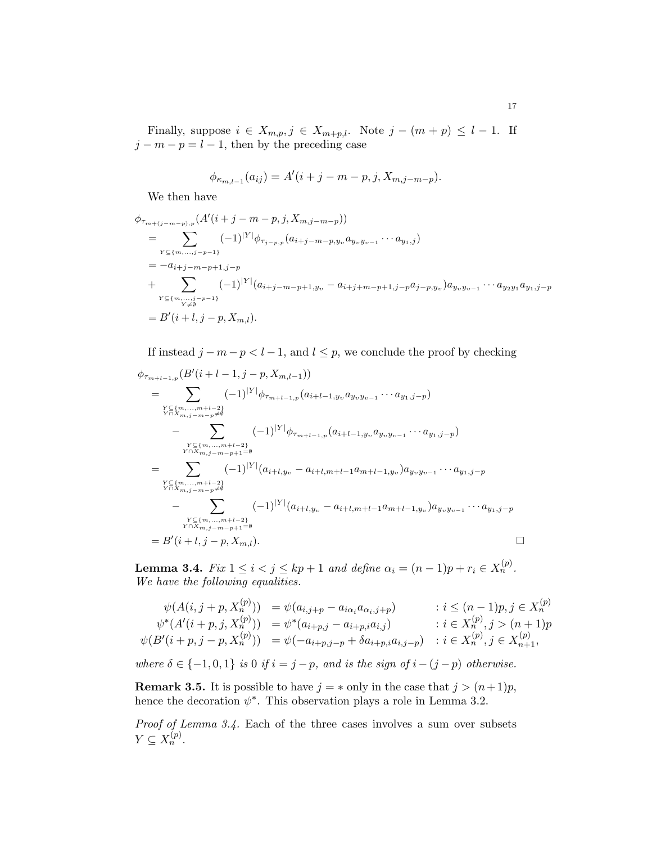Finally, suppose  $i \in X_{m,p}, j \in X_{m+p,l}$ . Note  $j - (m+p) \leq l-1$ . If  $j - m - p = l - 1$ , then by the preceding case

$$
\phi_{\kappa_{m,l-1}}(a_{ij}) = A'(i+j-m-p,j,X_{m,j-m-p}).
$$

We then have

$$
\phi_{\tau_{m+(j-m-p),p}}(A'(i+j-m-p,j,X_{m,j-m-p}))
$$
\n
$$
= \sum_{\substack{Y \subseteq \{m,\ldots,j-p-1\} \\ \vdots \\ Y \subseteq \{m,\ldots,j-p-1\} \\ Y \subseteq \{m,\ldots,j-p-1\}}} (-1)^{|Y|} \phi_{\tau_{j-p,p}}(a_{i+j-m-p,y_{\upsilon}} a_{y_{\upsilon}y_{\upsilon-1}} \cdots a_{y_{1},j})
$$
\n
$$
= -a_{i+j-m-p+1,j-p}
$$
\n
$$
+ \sum_{\substack{Y \subseteq \{m,\ldots,j-p-1\} \\ Y \neq \emptyset}} (-1)^{|Y|} (a_{i+j-m-p+1,y_{\upsilon}} - a_{i+j+m-p+1,j-p} a_{j-p,y_{\upsilon}}) a_{y_{\upsilon}y_{\upsilon-1}} \cdots a_{y_{2}y_{1}} a_{y_{1},j-p}
$$
\n
$$
= B'(i+l,j-p,X_{m,l}).
$$

If instead  $j - m - p < l - 1$ , and  $l \leq p$ , we conclude the proof by checking

$$
\phi_{\tau_{m+l-1,p}}(B'(i+l-1,j-p,X_{m,l-1}))
$$
\n
$$
= \sum_{\substack{Y \subseteq \{m,\ldots,m+l-2\} \\ Y \cap X_{m,j-m-p} \neq \emptyset}} (-1)^{|Y|} \phi_{\tau_{m+l-1,p}}(a_{i+l-1,y_{v}}a_{y_{v}y_{v-1}}\cdots a_{y_{1},j-p})
$$
\n
$$
- \sum_{\substack{Y \subseteq \{m,\ldots,m+l-2\} \\ Y \cap X_{m,j-m-p+1} = \emptyset}} (-1)^{|Y|} \phi_{\tau_{m+l-1,p}}(a_{i+l-1,y_{v}}a_{y_{v}y_{v-1}}\cdots a_{y_{1},j-p})
$$
\n
$$
= \sum_{\substack{Y \cap X_{m,j-m-p+1} = \emptyset \\ Y \cap X_{m,j-m-p} \neq \emptyset}} (-1)^{|Y|} (a_{i+l,y_{v}} - a_{i+l,m+l-1}a_{m+l-1,y_{v}})a_{y_{v}y_{v-1}}\cdots a_{y_{1},j-p}
$$
\n
$$
- \sum_{\substack{Y \subseteq \{m,\ldots,m+l-2\} \\ Y \cap X_{m,j-m-p+1} = \emptyset}} (-1)^{|Y|} (a_{i+l,y_{v}} - a_{i+l,m+l-1}a_{m+l-1,y_{v}})a_{y_{v}y_{v-1}}\cdots a_{y_{1},j-p}
$$
\n
$$
= B'(i+l,j-p,X_{m,l}).
$$

**Lemma 3.4.** Fix  $1 \leq i < j \leq kp+1$  and define  $\alpha_i = (n-1)p + r_i \in X_n^{(p)}$ . We have the following equalities.

$$
\psi(A(i, j + p, X_n^{(p)})) = \psi(a_{i,j+p} - a_{i\alpha_i}a_{\alpha_i, j+p}) : i \le (n-1)p, j \in X_n^{(p)}
$$
  

$$
\psi^*(A'(i + p, j, X_n^{(p)})) = \psi^*(a_{i+p,j} - a_{i+p,i}a_{i,j}) : i \in X_n^{(p)}, j > (n+1)p
$$
  

$$
\psi(B'(i + p, j - p, X_n^{(p)})) = \psi(-a_{i+p,j-p} + \delta a_{i+p,i}a_{i,j-p}) : i \in X_n^{(p)}, j \in X_{n+1}^{(p)},
$$

where  $\delta \in \{-1,0,1\}$  is 0 if  $i = j - p$ , and is the sign of  $i - (j - p)$  otherwise.

**Remark 3.5.** It is possible to have  $j = *$  only in the case that  $j > (n+1)p$ , hence the decoration  $\psi^*$ . This observation plays a role in Lemma 3.2.

Proof of Lemma 3.4. Each of the three cases involves a sum over subsets  $Y \subseteq X_n^{(p)}$ .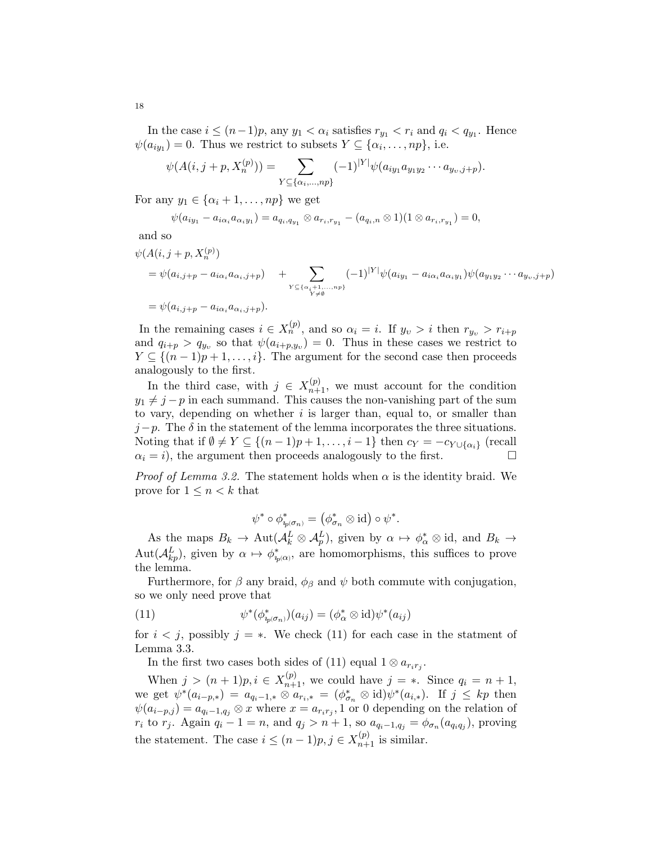In the case  $i \leq (n-1)p$ , any  $y_1 < \alpha_i$  satisfies  $r_{y_1} < r_i$  and  $q_i < q_{y_1}$ . Hence  $\psi(a_{iy_1}) = 0$ . Thus we restrict to subsets  $Y \subseteq \{\alpha_i, \ldots, np\}$ , i.e.

$$
\psi(A(i,j+p,X_n^{(p)})) = \sum_{Y \subseteq \{\alpha_i,\dots,np\}} (-1)^{|Y|} \psi(a_{iy_1}a_{y_1y_2}\cdots a_{y_v,j+p}).
$$

For any  $y_1 \in {\alpha_i + 1, ..., np}$  we get

$$
\psi(a_{iy_1}-a_{i\alpha_i}a_{\alpha_iy_1})=a_{q_i,q_{y_1}}\otimes a_{r_i,r_{y_1}}-(a_{q_i,n}\otimes 1)(1\otimes a_{r_i,r_{y_1}})=0,
$$

and so

$$
\psi(A(i, j + p, X_n^{(p)})
$$
\n
$$
= \psi(a_{i,j+p} - a_{i\alpha_i}a_{\alpha_i,j+p}) + \sum_{\substack{Y \subseteq {\{\alpha_i + 1, \dots, n\}} \\ Y \neq \emptyset}} (-1)^{|Y|} \psi(a_{iy_1} - a_{i\alpha_i}a_{\alpha_iy_1}) \psi(a_{y_1y_2} \cdots a_{y_v,j+p})
$$
\n
$$
= \psi(a_{i,j+p} - a_{i\alpha_i}a_{\alpha_i,j+p}).
$$

In the remaining cases  $i \in X_n^{(p)}$ , and so  $\alpha_i = i$ . If  $y_v > i$  then  $r_{y_v} > r_{i+p}$ and  $q_{i+p} > q_{y_v}$  so that  $\psi(a_{i+p,y_v}) = 0$ . Thus in these cases we restrict to  $Y \subseteq \{(n-1)p+1,\ldots,i\}$ . The argument for the second case then proceeds analogously to the first.

In the third case, with  $j \in X_{n+1}^{(p)}$ , we must account for the condition  $y_1 \neq j - p$  in each summand. This causes the non-vanishing part of the sum to vary, depending on whether  $i$  is larger than, equal to, or smaller than  $j-p$ . The  $\delta$  in the statement of the lemma incorporates the three situations. Noting that if  $\emptyset \neq Y \subseteq \{(n-1)p+1,\ldots,i-1\}$  then  $c_Y = -c_{Y \cup \{\alpha_i\}}$  (recall  $\alpha_i = i$ , the argument then proceeds analogously to the first.

*Proof of Lemma 3.2.* The statement holds when  $\alpha$  is the identity braid. We prove for  $1 \leq n \leq k$  that

$$
\psi^*\circ \phi^*_{\eta_{{\textup{p}}}(\sigma_n)}=\left(\phi_{\sigma_n}^*\otimes \mathrm{id}\right)\circ \psi^*.
$$

As the maps  $B_k \to \text{Aut}(\mathcal{A}_k^L \otimes \mathcal{A}_p^L)$ , given by  $\alpha \mapsto \phi_{\alpha}^* \otimes \text{id}$ , and  $B_k \to$  $\mathrm{Aut}(\mathcal{A}_{kp}^L)$ , given by  $\alpha \mapsto \phi_{i_p(\alpha)}^*$ , are homomorphisms, this suffices to prove the lemma.

Furthermore, for  $\beta$  any braid,  $\phi_{\beta}$  and  $\psi$  both commute with conjugation, so we only need prove that

(11) 
$$
\psi^*(\phi^*_{i_p(\sigma_n)})(a_{ij}) = (\phi^*_{\alpha} \otimes \mathrm{id})\psi^*(a_{ij})
$$

for  $i < j$ , possibly  $j = *$ . We check (11) for each case in the statment of Lemma 3.3.

In the first two cases both sides of (11) equal  $1 \otimes a_{r_i r_j}$ .

When  $j > (n+1)p, i \in X_{n+1}^{(p)}$ , we could have  $j = *$ . Since  $q_i = n+1$ , we get  $\psi^*(a_{i-p,*}) = a_{q_i-1,*} \otimes a_{r_i,*} = (\phi_{\sigma_n}^* \otimes id) \psi^*(a_{i,*}).$  If  $j \leq kp$  then  $\psi(a_{i-p,j}) = a_{q_i-1,q_j} \otimes x$  where  $x = a_{r_i r_j}$ , 1 or 0 depending on the relation of  $r_i$  to  $r_j$ . Again  $q_i - 1 = n$ , and  $q_j > n + 1$ , so  $a_{q_i-1,q_j} = \phi_{\sigma_n}(a_{q_i q_j})$ , proving the statement. The case  $i \leq (n-1)p, j \in X_{n+1}^{(p)}$  is similar.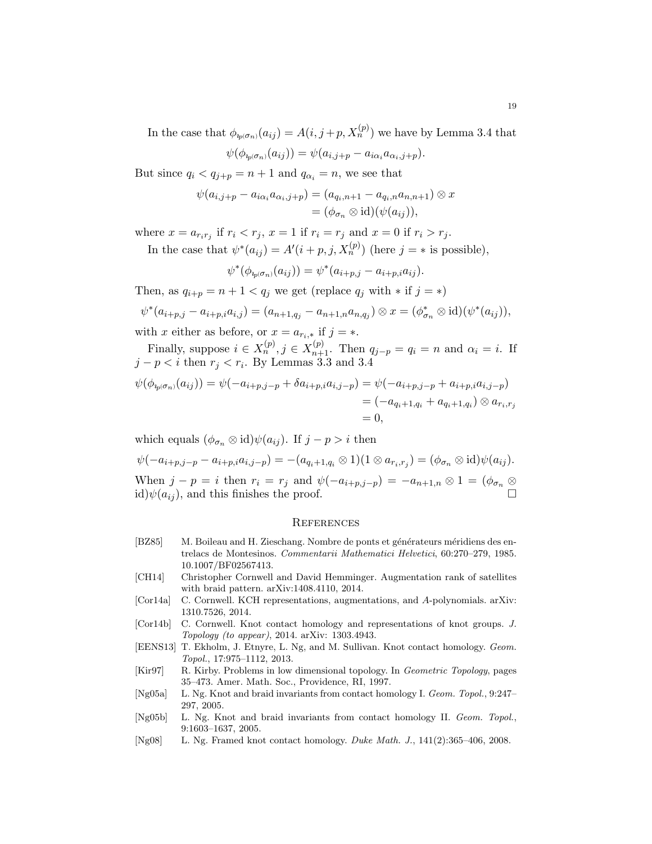In the case that  $\phi_{i_p(\sigma_n)}(a_{ij}) = A(i, j+p, X_n^{(p)})$  we have by Lemma 3.4 that

$$
\psi(\phi_{i_p(\sigma_n)}(a_{ij})) = \psi(a_{i,j+p} - a_{i\alpha_i}a_{\alpha_i,j+p}).
$$

But since  $q_i < q_{j+p} = n+1$  and  $q_{\alpha_i} = n$ , we see that

$$
\psi(a_{i,j+p} - a_{i\alpha_i}a_{\alpha_i,j+p}) = (a_{q_i,n+1} - a_{q_i,n}a_{n,n+1}) \otimes x
$$
  
=  $(\phi_{\sigma_n} \otimes id)(\psi(a_{ij})),$ 

where  $x = a_{r_i r_j}$  if  $r_i < r_j$ ,  $x = 1$  if  $r_i = r_j$  and  $x = 0$  if  $r_i > r_j$ .

In the case that  $\psi^*(a_{ij}) = A'(i+p, j, X_n^{(p)})$  (here  $j = *$  is possible),

$$
\psi^*(\phi_{i_p(\sigma_n)}(a_{ij})) = \psi^*(a_{i+p,j} - a_{i+p,i}a_{ij}).
$$

Then, as  $q_{i+p} = n + 1 < q_j$  we get (replace  $q_j$  with  $*$  if  $j = *$ )

$$
\psi^*(a_{i+p,j}-a_{i+p,i}a_{i,j})=(a_{n+1,q_j}-a_{n+1,n}a_{n,q_j})\otimes x=(\phi_{\sigma_n}^*\otimes \mathrm{id})(\psi^*(a_{ij})),
$$

with x either as before, or  $x = a_{r_i,*}$  if  $j = *$ .

Finally, suppose  $i \in X_n^{(p)}$ ,  $j \in X_{n+1}^{(p)}$ . Then  $q_{j-p} = q_i = n$  and  $\alpha_i = i$ . If  $j - p < i$  then  $r_j < r_i$ . By Lemmas 3.3 and 3.4

$$
\psi(\phi_{i_p(\sigma_n)}(a_{ij})) = \psi(-a_{i+p,j-p} + \delta a_{i+p,i}a_{i,j-p}) = \psi(-a_{i+p,j-p} + a_{i+p,i}a_{i,j-p})
$$
  
=  $(-a_{q_i+1,q_i} + a_{q_i+1,q_i}) \otimes a_{r_i,r_j}$   
= 0,

which equals  $(\phi_{\sigma_n} \otimes id)\psi(a_{ij})$ . If  $j - p > i$  then

$$
\psi(-a_{i+p,j-p} - a_{i+p,i}a_{i,j-p}) = -(a_{q_i+1,q_i} \otimes 1)(1 \otimes a_{r_i,r_j}) = (\phi_{\sigma_n} \otimes \text{id})\psi(a_{ij}).
$$
  
When  $j - p = i$  then  $r_i = r_j$  and  $\psi(-a_{i+p,j-p}) = -a_{n+1,n} \otimes 1 = (\phi_{\sigma_n} \otimes \text{id})\psi(a_{ij})$ , and this finishes the proof.

#### **REFERENCES**

- [BZ85] M. Boileau and H. Zieschang. Nombre de ponts et générateurs méridiens des entrelacs de Montesinos. Commentarii Mathematici Helvetici, 60:270–279, 1985. 10.1007/BF02567413.
- [CH14] Christopher Cornwell and David Hemminger. Augmentation rank of satellites with braid pattern. arXiv:1408.4110, 2014.
- [Cor14a] C. Cornwell. KCH representations, augmentations, and A-polynomials. arXiv: 1310.7526, 2014.
- [Cor14b] C. Cornwell. Knot contact homology and representations of knot groups. J. Topology (to appear), 2014. arXiv: 1303.4943.
- [EENS13] T. Ekholm, J. Etnyre, L. Ng, and M. Sullivan. Knot contact homology. Geom. Topol., 17:975–1112, 2013.
- [Kir97] R. Kirby. Problems in low dimensional topology. In Geometric Topology, pages 35–473. Amer. Math. Soc., Providence, RI, 1997.
- [Ng05a] L. Ng. Knot and braid invariants from contact homology I. Geom. Topol., 9:247– 297, 2005.
- [Ng05b] L. Ng. Knot and braid invariants from contact homology II. Geom. Topol., 9:1603–1637, 2005.
- [Ng08] L. Ng. Framed knot contact homology. Duke Math. J., 141(2):365–406, 2008.